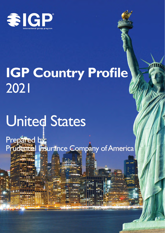

# **IGP Country Profile** 2021

# **United States**

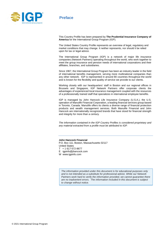

## **Preface**

This Country Profile has been prepared by **The Prudential Insurance Company of America** for the International Group Program (IGP).

The United States Country Profile represents an overview of legal, regulatory and market conditions that may change. It neither represents, nor should it be relied upon for tax or legal advice.

The International Group Program (IGP) is a network of major life insurance companies (Network Partners) operating throughout the world, who work together to meet the group insurance and pension needs of international corporations and their affiliates, branches, and subsidiaries.

Since 1967, the International Group Program has been an industry leader in the field of international benefits management, serving more multinational companies than any other network. IGP is represented in around 80 countries throughout the world and is known for the flexibility and quality of service we provide to our clients.

Working closely with our headquarters' staff in Boston and our regional offices in Brussels and Singapore, IGP Network Partners offer corporate clients the advantages of experienced local insurance management coupled with the resources of a professionally trained staff that specializes in international employee benefits.

IGP is managed by John Hancock Life Insurance Company (U.S.A.), the U.S. operation of Manulife Financial Corporation, a leading financial services group based in Toronto, Canada. Manulife offers its clients a diverse range of financial protection products and wealth management services. Both Manulife Financial and John Hancock are internationally recognized brands that have stood for financial strength and integrity for more than a century.

*The information contained in the IGP Country Profiles is considered proprietary and any material extracted from a profile must be attributed to IGP.*

### **John Hancock Financial**

P.O. Box 111, Boston, Massachusetts 02117 United States T + 1 617-572-8677 E igpinfo@jhancock.com

W www.igpinfo.com

*The information provided under this document is for educational purposes only and is not intended as a substitute for professional advice. While our Network*  Partners work hard to verify the information provided, we cannot guarantee there *are no inadvertent errors. The information included in this document is subject to change without notice.*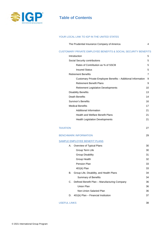

## **Table of Contents**

### YOUR LOCAL LINK TO IGP IN THE UNITED STATES

| The Prudential Insurance Company of America |  |
|---------------------------------------------|--|
|---------------------------------------------|--|

#### CUSTOMARY PRIVATE EMPLOYEE BENEFITS & SOCIAL SECURITY BENEFITS

|                 |    | Introduction                                                 | 5              |
|-----------------|----|--------------------------------------------------------------|----------------|
|                 |    | Social Security contributions                                | 5              |
|                 |    | Rates of Contribution as % of SSCB                           | 5              |
|                 |    | <b>Insured Status</b>                                        | 5              |
|                 |    | <b>Retirement Benefits</b>                                   | $\overline{7}$ |
|                 |    | Customary Private Employee Benefits - Additional Information | 9              |
|                 |    | <b>Retirement Benefit Plans</b>                              | 9              |
|                 |    | <b>Retirement Legislative Developments</b>                   | 10             |
|                 |    | <b>Disability Benefits</b>                                   | 13             |
|                 |    | Death Benefits                                               | 14             |
|                 |    | <b>Survivor's Benefits</b>                                   | 16             |
|                 |    | <b>Medical Benefits</b>                                      | 17             |
|                 |    | <b>Additional Information</b>                                | 21             |
|                 |    | <b>Health and Welfare Benefit Plans</b>                      | 21             |
|                 |    | <b>Health Legislation Developments</b>                       | 21             |
|                 |    |                                                              |                |
| <b>TAXATION</b> |    |                                                              | 27             |
|                 |    | <b>BENCHMARK INFORMATION</b>                                 | 29             |
|                 |    | SAMPLE EMPLOYEE BENEFIT PLANS                                |                |
|                 | А. | Overview of Typical Plans                                    | 30             |
|                 |    | Group Term Life                                              | 30             |
|                 |    | Group Disability                                             | 31             |
|                 |    | Group Health                                                 | 32             |
|                 |    | Pension Plan                                                 | 33             |
|                 |    | 401(k) Plan                                                  | 33             |
|                 | В. | Group Life, Disability, and Health Plans                     | 34             |
|                 |    | <b>Summary of Benefits</b>                                   | 34             |
|                 | C. | Defined Benefit Plan - Manufacturing Company                 | 36             |
|                 |    | Union Plan                                                   | 36             |
|                 |    | Non-Union Salaried Plan                                      | 36             |
|                 | D. | 401(k) Plan - Financial Institution                          | 37             |
|                 |    |                                                              |                |

#### USEFUL LINKS 38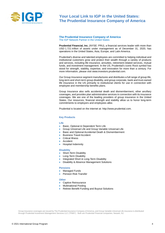

## **Your Local Link to IGP in the United States: The Prudential Insurance Company of America**

#### **The Prudential Insurance Company of America** The IGP Network Partner in the United States

**Prudential Financial, Inc.** (NYSE: PRU), a financial services leader with more than USD 1.721 trillion of assets under management as of December 31, 2020, has operations in the United States, Asia, Europe, and Latin America.

Prudential's diverse and talented employees are committed to helping individual and institutional customers grow and protect their wealth through a variety of products and services, including life insurance, annuities, retirement-related services, mutual funds, and investment management. In the US, Prudential's iconic Rock symbol has stood for strength, stability, expertise, and innovation for more than a century. For more information, please visit www.investors.prudential.com.

Our Group Insurance segment manufactures and distributes a full range of group life, long-term and short-term group disability, and group corporate, bank and trust-owned life insurance in the US primarily to institutional clients for use in connection with employee and membership benefits plans.

Group Insurance also sells accidental death and dismemberment, other ancillary coverages, and provides plan administrative services in connection with its insurance coverages. We are one of the leading providers of group insurance in the United States. Our resources, financial strength and stability allow us to honor long-term commitments to employers and employees alike.

Prudential is located on the internet at: http://www.prudential.com.

#### **Key Products**

#### **Life**

- Basic, Optional & Dependent Term Life
- Group Universal Life and Group Variable Universal Life
- Basic and Optional Accidental Death & Dismemberment
- Business Travel Accident
- Critical Illness
- **Accident**
- Hospital Indemnity

#### **Disability**

- Short-Term Disability
- Long-Term Disability
- Integrated Short & Long-Term Disability
- Disability & Absence Management Solutions

#### **Pensions**

- Managed Funds
- Pension Risk Transfer

#### **Other**

- Captive Reinsurance
- Multinational Pooling
- Retiree Benefit Funding and Buyout Solutions

Group Insurance coverages are issued by The Prudential Insurance Company of America, and Group Variable Universal Life insurance is distributed through Prudential Investment Management Services LLC ("PIMS"). Both are Prudential Financial companies, Newark, NJ.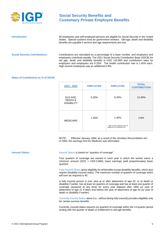

| Introduction:                         | All employees and self-employed persons are eligible for Social Security in the United<br>States. Special systems exist for government workers. Old-age, death and disability<br>benefits are payable if service and age requirements are met.                                                                                                                                                 |
|---------------------------------------|------------------------------------------------------------------------------------------------------------------------------------------------------------------------------------------------------------------------------------------------------------------------------------------------------------------------------------------------------------------------------------------------|
| <b>Social Security Contributions:</b> | Contributions are calculated as a percentage of a base number, and employers and<br>employees contribute equally. The 2021 Social Security Contribution Base (SSCB) for<br>old age, death and disability benefits is USD 142,800 and contribution rates for<br>employers and employees are 6.20%. The health contribution rate is 1.45% each.<br>High income employees pay an additional 0.9%. |

#### **Rates of Contribution as % of SSCB:**

| 2013 - 2021                              | <b>EMPLOYER</b> | <b>EMPLOYEE</b>                                                          | <b>TOTAL</b><br><b>CONTRIBUTION</b> |
|------------------------------------------|-----------------|--------------------------------------------------------------------------|-------------------------------------|
| OLD AGE.<br>DEATH &<br><b>DISABILITY</b> | 6.20%           | 6.20%                                                                    | 12.40%                              |
| <b>MEDICARE</b>                          | 1.45%           | 1.45%<br>* High income employees pay an<br>additional 0.9% Medicare tax. | 2.9%                                |

*NOTE: Effective January 1994, as a result of the Omnibus Reconciliation Act of 1993, the earnings limit for Medicare was eliminated.*

**Insured Status:** Insured Status is based on "quarters of coverage".

Four quarters of coverage are earned in each year in which the worker earns a minimum amount (2021 = USD 5,880); lower earnings yield proportionately fewer quarters.

Fully Insured Status gives eligibility for all benefits except disability benefits, which also require Disability Insured status. The maximum number of quarters of coverage which will ever be required is 40.

A fully insured person is one, who at or after attainment of age 62, or at death or disability if earlier, has at least six quarters of coverage and has at least one quarter of coverage (acquired at any time) for every year elapsed after 1950 (or year of attainment of age 21 if later) and before the year of attainment of age 62 (or year of death or disability if earlier).

Currently Insured Status alone (i.e., without being fully insured) provides eligibility only for certain survivor benefits.

Currently, insured status requires six quarters of coverage within the 13-quarter period ending with the quarter of death or entitlement to old-age benefits.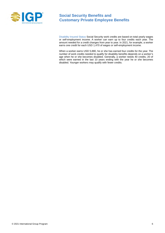

Disability Insured Status Social Security work credits are based on total yearly wages or self-employment income. A worker can earn up to four credits each year. The amount needed for a credit changes from year to year. In 2021, for example, a worker earns one credit for each USD 1,470 of wages or self-employment income.

When a worker earns USD 5,880, he or she has earned four credits for the year. The number of work credits needed to qualify for disability benefits depends on a worker's age when he or she becomes disabled. Generally, a worker needs 40 credits, 20 of which were earned in the last 10 years ending with the year he or she becomes disabled. Younger workers may qualify with fewer credits.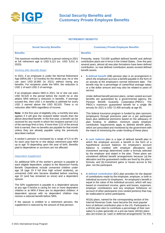

| <b>RETIREMENT BENEFITS</b>                                                                                                                                                                                                                                                                                                                                                                                                                                                                                                                                         |                                                                                                                                                                                                                                                                                                                                                                                                                                                                                                                                                                              |  |
|--------------------------------------------------------------------------------------------------------------------------------------------------------------------------------------------------------------------------------------------------------------------------------------------------------------------------------------------------------------------------------------------------------------------------------------------------------------------------------------------------------------------------------------------------------------------|------------------------------------------------------------------------------------------------------------------------------------------------------------------------------------------------------------------------------------------------------------------------------------------------------------------------------------------------------------------------------------------------------------------------------------------------------------------------------------------------------------------------------------------------------------------------------|--|
| <b>Social Security Benefits</b>                                                                                                                                                                                                                                                                                                                                                                                                                                                                                                                                    | <b>Customary Private Employee Benefits</b>                                                                                                                                                                                                                                                                                                                                                                                                                                                                                                                                   |  |
| <b>Benefits</b>                                                                                                                                                                                                                                                                                                                                                                                                                                                                                                                                                    | <b>Benefits</b>                                                                                                                                                                                                                                                                                                                                                                                                                                                                                                                                                              |  |
| The maximum monthly benefit for a person retiring in 2021<br>at full retirement age is USD 3,113 (vs. USD 3,011 in<br>2020).<br><b>Working after Benefits Begin</b>                                                                                                                                                                                                                                                                                                                                                                                                | Presently, nearly 710,000 qualified defined benefit and defined<br>contribution plans are in force in the United States. Over the past<br>several years, almost all new plan formations have been defined<br>contribution, so now defined contribution assets exceed defined<br>benefit assets.                                                                                                                                                                                                                                                                              |  |
| In 2021, if an employee is under the Normal Retirement<br>Age (NRA) (66 + 10 months) for the whole year, he or she<br>can earn USD 18,960 (in 2021) without losing any<br>benefits. For recipients under the NRA, the reduction is<br>USD 1 of each USD 2 of earnings.<br>If an employee attains NRA in 2021, he or she can earn<br>USD 50,520 in the period before the month he or she<br>attains NRA without a reduction in benefits. If earnings<br>exceed this, then USD 1 in benefits is withheld for every<br>USD 3 earned above the USD 50,520. There is no | A defined benefit (DB) pension plan is an arrangement in<br>$\bullet$<br>which the employee accrues a benefit payable in the form of<br>an annuity at the employee's normal retirement date. The<br>benefit may be a percentage of career/final average salary<br>or a flat dollar amount and may also be related to years of<br>service.<br>Under defined benefit pension plans, certain vested accrued<br>benefits are guaranteed by a governmental agency, the<br>Pension Benefit Guaranty Corporation (PBGC). The<br>PBGC's maximum guaranteed benefit for a single life |  |
| reduction after NRA regardless of income.<br>Note: In the first year of eligibility only, a monthly test also<br>applies if it will give the recipient better results than the<br>above-described benefit. In the first year, a benefit can be<br>received for any month in which the recipient earned 1/12<br>of the earnings limit or less. If more than 1/12 of the annual<br>limit is earned, then no benefits are payable for that month<br>unless they are already payable using the previously<br>described method.                                         | annuity for 2021 is USD 72,409 annually at age 65.<br>This federal insurance program is funded by plan sponsors<br>(employers) through premiums paid on a per participant<br>basis plus additional premiums based on the adequacy of<br>plan funding. In addition, minimum yearly employer<br>contribution requirements apply to defined benefit plans,<br>which are prescribed and monitored by the government with<br>the intent of minimizing the under-funding of these plans.                                                                                           |  |
| A worker's pension is increased by a range of 5.5 to 8%<br>for each year that he or she delays retirement past NRA<br>up to age 70 depending upon the year of birth. Benefits<br>paid to dependents or survivors are not affected.                                                                                                                                                                                                                                                                                                                                 | $\bullet$<br>A cash balance plan is a type of defined benefit plan in<br>which the employee accrues a benefit in the form of a<br>hypothetical account balance. An employee's account<br>balance is credited with employer allocations and<br>investment earnings determined under a formula selected                                                                                                                                                                                                                                                                        |  |
| <b>Dependent Supplement</b><br>An additional 50% of the worker's pension is payable to<br>each eligible dependent, subject to the Maximum Family<br>Benefit. Dependents include unmarried children under<br>age 18 (age 19 if full time high school students), an                                                                                                                                                                                                                                                                                                  | by the employer and stated in the plan. These plans are<br>considered defined benefit arrangements because (a) the<br>allocation and the quaranteed credits are fixed by the plan's<br>formula, and (b) investment gains or losses accrue to the<br>plan, not the participant.                                                                                                                                                                                                                                                                                               |  |
| unmarried child who became disabled before reaching<br>age 22 (and has remained so since) and a dependent<br>spouse.                                                                                                                                                                                                                                                                                                                                                                                                                                               | A defined contribution (DC) plan provides for the deposit<br>$\bullet$<br>of contributions made by the employee, employer, or both in<br>individual accounts for employees. An employee's benefit is                                                                                                                                                                                                                                                                                                                                                                         |  |
| The 50% supplement is payable to a dependent spouse<br>at any age if he/she is caring for one or more dependent<br>children or at NRA if there are no dependent children. A<br>dependent spouse with no dependent children may<br>receive a reduced benefit before NRA.                                                                                                                                                                                                                                                                                            | equal to the value of the individual account, which will vary<br>based on investment income, gains and losses, expenses,<br>employer contributions and any employer forfeitures on<br>account of other participants (non-vested portions) that may<br>be reallocated to active participants.                                                                                                                                                                                                                                                                                 |  |
| If the spouse is entitled to a retirement pension, the<br>supplement is reduced by the amount of that pension.                                                                                                                                                                                                                                                                                                                                                                                                                                                     | 401(k) plans, named for the corresponding section of the<br>Internal Revenue Code, have become the most popular<br>form of defined contribution plan in the US. Participants in<br>a 401(k) plan elect to contribute a percentage of their own<br>salary to a plan generally on a pre-tax basis (401(k) plans<br>also are known as "cash or deferred arrangements" for this                                                                                                                                                                                                  |  |
|                                                                                                                                                                                                                                                                                                                                                                                                                                                                                                                                                                    |                                                                                                                                                                                                                                                                                                                                                                                                                                                                                                                                                                              |  |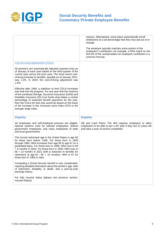

|                                                                                                                                                                                                                                                                                                                                                                                                                                                       | reason). Alternatively, some plans automatically enroll<br>employees at a set percentage that they may opt out of or<br>change.<br>The employer typically matches some portion of the<br>employee's contribution; for example, a 50% match on the<br>first 6% of the compensation an employee contributes is a<br>common formula. |
|-------------------------------------------------------------------------------------------------------------------------------------------------------------------------------------------------------------------------------------------------------------------------------------------------------------------------------------------------------------------------------------------------------------------------------------------------------|-----------------------------------------------------------------------------------------------------------------------------------------------------------------------------------------------------------------------------------------------------------------------------------------------------------------------------------|
| <b>Cost-of-Living Adjustments (COLA)</b>                                                                                                                                                                                                                                                                                                                                                                                                              |                                                                                                                                                                                                                                                                                                                                   |
| All pensions are automatically adjusted (upward only) as<br>of January of each year based on the third quarter of the<br>current year versus the prior year. The most recent cost-<br>of-living increase in benefits, payable as of January 2021,<br>was 1.3%. In 2020, the cost-of-living adjustment was<br>1.6%.                                                                                                                                    |                                                                                                                                                                                                                                                                                                                                   |
| Effective after 1984, a stabilizer to limit COLA increases<br>was built into the program. For any year that the reserves<br>of the combined Old Age, Survivors Insurance (OASI) and<br>Disability Insurance (DI) trust funds drop below a certain<br>percentage of expected benefit payments for the year,<br>then the COLA for that year would be based on the lower<br>of the increase in the consumer price index (CPI) or the                     |                                                                                                                                                                                                                                                                                                                                   |
| average wage index.                                                                                                                                                                                                                                                                                                                                                                                                                                   |                                                                                                                                                                                                                                                                                                                                   |
| <b>Eligibility</b>                                                                                                                                                                                                                                                                                                                                                                                                                                    | <b>Eligibility</b>                                                                                                                                                                                                                                                                                                                |
| All employees and self-employed persons are eligible.<br>Special systems exist for railroad employees, federal<br>government employees, and many employees of state<br>and local governments.                                                                                                                                                                                                                                                         | DB and Cash Plans: The IRS requires employers to allow<br>employees to be able to join a DC plan if they are 21 years old<br>and have a year of service completed.                                                                                                                                                                |
| The normal retirement age in the United States is age 65<br>for those born before 1938. For those born in 1938<br>through 1960, NRA increases from age 65 to age 67 on a<br>graduated basis. For those born in 1958, NRA rose to 66<br>+ 8 months in 2020. For those born in 1959, NRA rose to<br>66 + 10 months in 2021 (with a reduction in benefits for<br>retirement at age $62 - 65 + 10$ months). NRA is 67 for<br>those born in 1960 or later. |                                                                                                                                                                                                                                                                                                                                   |
| Computing a Social Security benefit is very complicated,<br>requiring detailed information about the worker's age, date<br>of retirement, disability, or death, and a year-by-year<br>earnings history.                                                                                                                                                                                                                                               |                                                                                                                                                                                                                                                                                                                                   |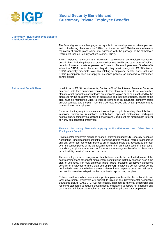

#### **Customary Private Employee Benefits Additional Information:**

The federal government has played a key role in the development of private pension and profit-sharing plans since the 1920's, but it was not until 1974 that comprehensive regulation of private plans came into existence with the passage of the "Employee Retirement Income Security Act of 1974" ("ERISA").

ERISA imposes numerous and significant requirements on employer-sponsored benefit plans, including those that provide retirement, health, and other types of welfare benefits. As a rule, private employers don't have to offer employees any of the benefits subject to ERISA, but to the extent they do, they must comply with ERISA's terms. ERISA generally preempts state law relating to employee benefit plans, although ERISA preemption does not apply to insurance policies (as opposed to self-funded benefit plans).

**Retirement Benefit Plans:** In addition to ERISA requirements, Section 401 of the Internal Revenue Code, as amended, sets forth numerous requirements that plans must meet to be tax-qualified plans to which special tax advantages are available. A plan must be established by the employer for the exclusive benefit of employees and their beneficiaries, assets of the plan must be maintained under a trust agreement or an insurance company group annuity contract, and the plan must be a definite, funded and written program that is communicated to employees.

> Plans must satisfy requirements related to employee eligibility, vesting of contributions, in-service withdrawal restrictions, distributions, spousal protections, participant notifications, funding levels (defined benefit plans), and must not discriminate in favor of highly compensated employees.

#### Financial Accounting Standards Applying to Post-Retirement and Other Post - Employment Benefits

Private sector employers preparing financial statements under US Generally Accepted Accounting Principles must account for pensions, retiree medical, retiree life insurance and any other post-retirement benefits on an accrual basis that recognizes the cost over the service period of the participants, rather than on a cash basis or other basis. In addition, employers must account for most post-employment benefits (such as longterm disability benefits) on an accrual basis.

These employers must recognize on their balance sheets the net funded status of the post-retirement and other post-employment benefit plans that they sponsor, even if the plan is unfunded. For multi-employer plans (plans providing collectively bargained benefits to employees of more than one employer), employers do not recognize the net funded status on the balance sheet or determine an expense on an accrual basis, but just disclose the cash paid to the organization sponsoring the plan.

Retiree health and other non-pension post-employment benefits offered by state and local government employers are subject to rules of the Governmental Accounting Standards Board (GASB). GASB has recently changed its financial accounting and reporting standards to require governmental employers to report net liabilities and costs under a different approach than that required for private-sector employers.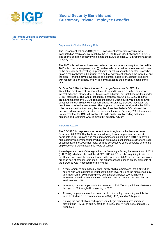

**Retirement Legislative Developments (as of June 2021)** 

#### Department of Labor Fiduciary Rule

The Department of Labor (DOL)'s 2016 investment advice fiduciary rule was invalidated as regulatory overreach by the US 5th Circuit Court of Appeals in 2018. The court's decision effectively reinstated the DOL's original 1975 investment advice fiduciary rule.

The 1975 rule defines an investment advice fiduciary more narrowly than the nullified 2016 rule to include a person who (i) renders advice or makes recommendations as to the advisability of investing in, purchasing, or selling securities or other property; (ii) on a regular basis; (iii) pursuant to a mutual agreement between the individual and the plan — and the advice (iv) serves as a primary basis for investment decisions with respect to plan assets, and (v) is individualized to the particular needs of the plan.

On June 30, 2020, the Securities and Exchange Commission's (SEC) four 'Regulation Best Interest rules' which are designed to create a unified conflict of interest mitigation standard for all brokers and advisers, not just those working under ERISA took effect. This was preceded by a proposal on June 29, 2020, from the Trump Administration's DOL to replace the defunct 2016 fiduciary rule and allow for exceptions under ERISA to investment advice fiduciaries, provided they act in the best interests of retirement savers. The proposal is intended to align with the SEC's rules. In a move that took many by surprise, President Biden's DOL allowed the previous administration's directive to become effective in February 2021. However, it is expected that the DOL will continue to build on the rule by adding additional guidance and redefining what is meant by 'fiduciary advice'.

#### SECURE Act 2.0

The SECURE Act represents retirement security legislation that became law on December 20, 2019. Highlights include allowing long-term part-time workers to participate in 401(k) plans and requiring employers maintaining a 401(k) to have a dual eligibility requirement under which an employee must complete either one year of service (with the 1,000-hour rule) or three consecutive years of service where the employee completes at least 500 hours of service.

A new bipartisan draft of the legislation; the Securing a Strong Retirement Act of 2021 (H.R.2954), which has been dubbed SECURE Act 2.0, has been gaining traction in the House and is widely expected to pass this year or in 2022, either as a standalone bill or as part of broader legislation. This bill proposes to expand on key elements of the SECURE Act. Proposed reforms include:

- A requirement to automatically enroll newly eligible employees into a 401(k) or 403(b) plan with a minimum initial contribution level of 3% of the employee's pay, to a maximum of 10%. Participants with a deferral below 10% will have an automatic annual increase in the contribution rate by 1% until the contribution level reaches 10%.
- Increasing the catch-up contribution amount to \$10,000 for participants between the ages of 62 through 64, beginning in 2023.
- Allowing employees to opt for some or all their employer matching contributions to be treated as Roth contributions for 401(k), 457(b) and 403(b) plans.
- Raising the age at which participants must begin taking required minimum distributions (RMDs) to age 73 starting in 2022, age 74 from 2029, and age 75 from 2032.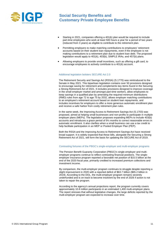

- Starting in 2021, companies offering a 401(k) plan would be required to include part-time employees who work at least 500 hours a year for a period of two years (reduced from 3 years) as eligible to contribute to the retirement plan.
- Permitting employers to make matching contributions to employees' retirement accounts based on their student loan repayments, even if the employee is not making contributions to a retirement plan due to student loan debt. The proposed legislation would apply to 401(k), 403(b), SIMPLE IRAs, and 457(b) plans.
- Allowing employers to provide small incentives, such as offering a gift card, to encourage employees to actively contribute to a 401(k) account.

#### Additional legislation bolsters SECURE Act 2.0

The Retirement Security and Savings Act (RSSA) (S.1770) was reintroduced to the Senate in May 2021. This bipartisan legislation contains over 50 provisions designed to encourage saving for retirement and complements key items found in the Securing a Strong Retirement Act of 2021. It includes provisions designed to improve coverage in the small employer market and amongst part-time workers, allow employees to keep savings in a qualified plan by amending the required minimum distributions (RMD) rules from age 72 to age 75 by 2032, allows employer matching contributions to an employee's retirement account based on student loan repayments, and includes incentives for employers to offer a more generous automatic enrollment plan and receive a safe harbor from costly retirement plan rules.

In the same week, the Improving Access to Retirement Savings Act (S.1703) was proposed, aimed at helping small businesses and non-profits to participate in multiple employer plans (MEPs). The legislation proposes expanding MEPs to include 403(b) accounts and introduces a grace period of 9½ months to correct reasonable errors in automatic enrollment. It also clarifies when a small business can use a tax credit to help facilitate participation in an MEP or Pooled Employer Plan (PEP).

Both the RSSA and the Improving Access to Retirement Savings Act have received broad support. It is widely expected that these bills, alongside the Securing a Strong Retirement Act of 2021, will form the basis for updating the SECURE Act of 2019.

#### Contrasting fortunes of the PBGC's single-employer and multi-employer programs

The Pension Benefit Guaranty Corporation (PBGC)'s single-employer and multiemployer programs continue to reflect contrasting financial positions. The singleemployer insurance program reported a favorable net position of \$15.5 billion at the end of the 2020 fiscal year, primarily credited to increased premium collections and investment income.

By comparison, the multi-employer program continues to struggle despite reporting a slight improvement in 2020 with a reported deficit of \$63.7 billion (\$65.2 billion in 2019). According to the DOL, the multi-employer program remains severely underfunded and is on track to become insolvent by the end of 2026 if action is not taken to repair the program.

According to the agency's annual projections report, the program currently covers approximately 10.8 million participants in an estimated 1,400 multi-employer plans. The report stresses that without legislative changes, the large deficits reported by the multi-employer program are expected to increase over time.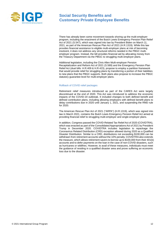

There has already been some movement towards shoring up the multi-employer program, including the enactment of the Butch Lewis Emergency Pension Plan Relief Act of 2021 (S.547), which was signed into law by President Biden on March 11, 2021, as part of the American Rescue Plan Act of 2021 (H.R.1319). While this law provides financial assistance to eligible multi-employer plans at risk of becoming insolvent, it does not address any structural reforms needed in the PBGC multiemployer program. Instead, the bill provides financial aid by allocating money from the Treasury Department via the PBGC to struggling multi-employer plans.

Additional legislation, including the Chris Allen Multi-employer Pension Recapitalization and Reform Act of 2021 (S.589) and the Emergency Pension Plan Relief Act (dual bills: H.R.409 & H.R.423), propose to employ a partition framework that would provide relief for struggling plans by transferring a portion of their liabilities to new plans that the PBGC supports. Both plans also propose to increase the PBGC statutory guarantee level for multi-employer plans.

#### Rollback of COVID relief packages

Retirement relief measures introduced as part of the CARES Act were largely discontinued at the end of 2020. This Act was introduced to address the economic impacts of the COVID-19 outbreak. It included changes to both defined benefit and defined contribution plans, including allowing employers with defined benefit plans to delay contributions due in 2020 until January 1, 2021, and suspending the RMD rule for 2020.

The American Rescue Plan Act of 2021 ("ARPA") (H.R.1319), which was signed into law in March 2021, contains the Butch Lewis Emergency Pension Relief Act aimed at providing financial relief to struggling multi-employer and single-employer plans.

In addition, Congress passed the COVID-Related Tax Relief Act of 2020 (COVIDTRA), which was enacted as part of the Consolidated Appropriations Act of 2021 by President Trump in December 2020. COVIDTRA includes legislation to repackage the Coronavirus Related Distribution (CRD) exception allowed during 2020 as a Qualified Disaster Distribution. Similar to a CRD, distributions not exceeding \$100,000 can be withdrawn from retirement accounts without the 10% penalty. COVIDTRA also extends the measure, which allows retirement savers to borrow up to \$100,000 from their 401(k) accounts and to defer payments on the loan in the case of non-COVID disasters, such as hurricanes or wildfires. However, to avail of these measures, individuals must meet the guidance of residing in a qualified disaster area and prove suffering an economic loss due to the disaster.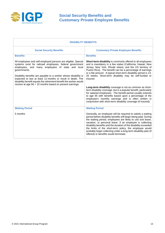

| <b>DISABILITY BENEFITS</b>                                                                                                                                                                                                                                      |                                                                                                                                                                                                                                                                                                                                                                                                                                                                                                       |  |
|-----------------------------------------------------------------------------------------------------------------------------------------------------------------------------------------------------------------------------------------------------------------|-------------------------------------------------------------------------------------------------------------------------------------------------------------------------------------------------------------------------------------------------------------------------------------------------------------------------------------------------------------------------------------------------------------------------------------------------------------------------------------------------------|--|
| <b>Social Security Benefits</b>                                                                                                                                                                                                                                 | <b>Customary Private Employee Benefits</b>                                                                                                                                                                                                                                                                                                                                                                                                                                                            |  |
| <b>Benefits</b>                                                                                                                                                                                                                                                 | <b>Benefits</b>                                                                                                                                                                                                                                                                                                                                                                                                                                                                                       |  |
| All employees and self-employed persons are eligible. Special<br>systems exist for railroad employees, federal government<br>employees, and many employees of state and local<br>governments.                                                                   | Short-term disability is commonly offered to all employees<br>and is mandatory in a few states (California, Hawaii, New<br>Jersey, New York, Rhode Island, and the US territory of<br>Puerto Rico). The benefit can be a percentage of earnings<br>or a flat amount. A typical short-term disability period is 13-                                                                                                                                                                                    |  |
| Disability benefits are payable to a worker whose disability is<br>expected to last at least 12 months or result in death. The<br>disability benefit equals the retirement benefit the worker would<br>receive at age 66 + 10 months based on present earnings. | 26 weeks. Short-term disability may be self-funded or<br>insured.                                                                                                                                                                                                                                                                                                                                                                                                                                     |  |
|                                                                                                                                                                                                                                                                 | Long-term disability coverage is not as common as short-<br>term disability coverage, but is a popular benefit, particularly<br>for salaried employees. The benefit period usually extends<br>to age 65 with benefits based upon a percentage of the<br>employee's monthly earnings and is often written in<br>conjunction with short-term disability coverage (if insured).                                                                                                                          |  |
| <b>Waiting Period</b>                                                                                                                                                                                                                                           | <b>Waiting Period</b>                                                                                                                                                                                                                                                                                                                                                                                                                                                                                 |  |
| 5 months                                                                                                                                                                                                                                                        | Generally, an employee will be required to satisfy a waiting<br>period before disability benefits will begin being paid. During<br>the waiting period, employees are likely to use sick leave,<br>vacation, or personal leave. If an employee is collecting<br>disability benefits and the duration of the disability exceeded<br>the limits of the short-term policy, the employee would<br>probably begin collecting under a long-term disability plan (if<br>offered) or benefits would terminate. |  |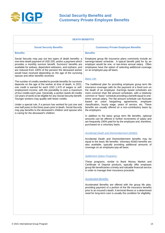

| <b>DEATH BENEFITS</b>                                                                                                                                                                                                                                                                                                                                                                                                                                                                                                |                                                                                                                                                                                                                                                                                                                                                                                                                                                                                                    |  |
|----------------------------------------------------------------------------------------------------------------------------------------------------------------------------------------------------------------------------------------------------------------------------------------------------------------------------------------------------------------------------------------------------------------------------------------------------------------------------------------------------------------------|----------------------------------------------------------------------------------------------------------------------------------------------------------------------------------------------------------------------------------------------------------------------------------------------------------------------------------------------------------------------------------------------------------------------------------------------------------------------------------------------------|--|
| <b>Social Security Benefits</b>                                                                                                                                                                                                                                                                                                                                                                                                                                                                                      | <b>Customary Private Employee Benefits</b>                                                                                                                                                                                                                                                                                                                                                                                                                                                         |  |
| <b>Benefits</b>                                                                                                                                                                                                                                                                                                                                                                                                                                                                                                      | <b>Benefits</b>                                                                                                                                                                                                                                                                                                                                                                                                                                                                                    |  |
| Social Security may pay out two types of death benefits: a<br>one-time death payment of USD 255, and/or a payment which<br>provides a monthly survivor benefit. Survivors' benefits are<br>available for widows, dependent widowers, and orphans, and<br>are reduced from 100% of the pension the deceased worker<br>would have received depending on the age of the surviving<br>spouse and other benefits received.                                                                                                | Employee group life insurance plans commonly include an<br>earnings-based schedule. A typical benefit paid for by an<br>employer would be one- or two-times annual salary. Often<br>employees have the option of selecting additional coverage<br>on an employee-pay-all basis.<br><b>Basic Life:</b>                                                                                                                                                                                              |  |
| The number of credits needed to provide benefits for survivors<br>depends on the age of the worker at time of death. In 2021,<br>one credit is earned for each USD 1,470 of wages or self-<br>employment income, with the possibility to earn a maximum<br>of four credits each year. Generally, a worker needs 40 credits<br>(10 years of work) to be eligible for any Social Security benefit.<br>Younger workers may qualify with fewer credits.<br>Under a special rule, if a person has worked for just one and | The traditional plan for providing employee group term life<br>insurance coverage calls for the payment of a fixed sum on<br>the death of an employee. Earnings based schedules are<br>more common than flat amount schedules, with a relatively<br>common or "basic" schedule providing a benefit equal to one-<br>times' annual salary. The flat amount schedule can fluctuate<br>based on union bargaining agreements,<br>employee<br>classification, hourly wage, years of service, etc. These |  |
| one-half years in the three years prior to death, Social Security<br>may pay benefits to the deceased's children and spouse who<br>is caring for the deceased's children.                                                                                                                                                                                                                                                                                                                                            | benefits are usually offered on a non-contributory basis by<br>the employers.<br>In addition to the basic group term life benefits, optional<br>amounts can be offered in further increments of salary and<br>are frequently 100% paid for by the employee and, therefore,<br>purchased on a voluntary basis.                                                                                                                                                                                      |  |
|                                                                                                                                                                                                                                                                                                                                                                                                                                                                                                                      | <b>Accidental Death and Dismemberment (AD&amp;D):</b>                                                                                                                                                                                                                                                                                                                                                                                                                                              |  |
|                                                                                                                                                                                                                                                                                                                                                                                                                                                                                                                      | Accidental Death and Dismemberment benefits may be<br>equal to the basic life benefits. Voluntary AD&D benefits are<br>also available, typically providing additional amounts of<br>coverage on an employee-pay-all basis.                                                                                                                                                                                                                                                                         |  |
|                                                                                                                                                                                                                                                                                                                                                                                                                                                                                                                      | <b>Settlement Option Programs:</b>                                                                                                                                                                                                                                                                                                                                                                                                                                                                 |  |
|                                                                                                                                                                                                                                                                                                                                                                                                                                                                                                                      | These programs, similar to Bank Money Market and<br>Certificate of Deposit products, typically offer employee<br>group life beneficiaries a timely and valuable financial service<br>in order to manage their insurance proceeds.                                                                                                                                                                                                                                                                  |  |
|                                                                                                                                                                                                                                                                                                                                                                                                                                                                                                                      | <b>Accelerated Benefits:</b>                                                                                                                                                                                                                                                                                                                                                                                                                                                                       |  |
|                                                                                                                                                                                                                                                                                                                                                                                                                                                                                                                      | Accelerated Benefits are offered with the group life plan,<br>providing payment of a portion of the life insurance benefits<br>prior to an insured's death. A terminal illness or a determined<br>need for long-term care is usually the condition for eligibility.                                                                                                                                                                                                                                |  |
|                                                                                                                                                                                                                                                                                                                                                                                                                                                                                                                      |                                                                                                                                                                                                                                                                                                                                                                                                                                                                                                    |  |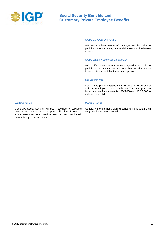

|                                                                                                                                                                                                                             | <b>Group Universal Life (GUL):</b><br>GUL offers a face amount of coverage with the ability for<br>participants to put money in a fund that earns a fixed rate of<br>interest.                                                            |
|-----------------------------------------------------------------------------------------------------------------------------------------------------------------------------------------------------------------------------|-------------------------------------------------------------------------------------------------------------------------------------------------------------------------------------------------------------------------------------------|
|                                                                                                                                                                                                                             | Group Variable Universal Life (GVUL):<br>GVUL offers a face amount of coverage with the ability for<br>participants to put money in a fund that contains a fixed<br>interest rate and variable investment options.                        |
|                                                                                                                                                                                                                             | <b>Spouse benefits</b><br>Most states permit <b>Dependent Life</b> benefits to be offered<br>with the employee as the beneficiary. The most prevalent<br>benefit amount for a spouse is USD 5,000 and USD 2,000 for<br>a dependent child. |
| <b>Waiting Period</b>                                                                                                                                                                                                       | <b>Waiting Period</b>                                                                                                                                                                                                                     |
| Generally, Social Security will begin payment of survivors'<br>benefits as soon as possible upon notification of death. In<br>some cases, the special one-time death payment may be paid<br>automatically to the survivors. | Generally, there is not a waiting period to file a death claim<br>on group life insurance benefits.                                                                                                                                       |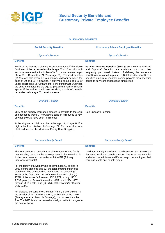

| <b>SURVIVORS' BENEFITS</b>                                                                                                                                                                                                                                                                                                                                                                                                                                                                                                                                                                                                                                                                                                                                                                                                                                                                                                                  |                                                                                                                                                                                                                                                                                                                                                      |  |
|---------------------------------------------------------------------------------------------------------------------------------------------------------------------------------------------------------------------------------------------------------------------------------------------------------------------------------------------------------------------------------------------------------------------------------------------------------------------------------------------------------------------------------------------------------------------------------------------------------------------------------------------------------------------------------------------------------------------------------------------------------------------------------------------------------------------------------------------------------------------------------------------------------------------------------------------|------------------------------------------------------------------------------------------------------------------------------------------------------------------------------------------------------------------------------------------------------------------------------------------------------------------------------------------------------|--|
| <b>Social Security Benefits</b>                                                                                                                                                                                                                                                                                                                                                                                                                                                                                                                                                                                                                                                                                                                                                                                                                                                                                                             | <b>Customary Private Employee Benefits</b>                                                                                                                                                                                                                                                                                                           |  |
| <b>Spouse's Pension</b>                                                                                                                                                                                                                                                                                                                                                                                                                                                                                                                                                                                                                                                                                                                                                                                                                                                                                                                     | <b>Spouse's Pension</b>                                                                                                                                                                                                                                                                                                                              |  |
| <b>Benefits</b>                                                                                                                                                                                                                                                                                                                                                                                                                                                                                                                                                                                                                                                                                                                                                                                                                                                                                                                             | <b>Benefits</b>                                                                                                                                                                                                                                                                                                                                      |  |
| 100% of the insured's primary insurance amount if the widow<br>/ widower of the deceased worker is age 66 + 10 months; with<br>an incremental reduction in benefits for those between ages<br>60 to 66 + 10 months (71.5% at age 60). Reduced benefits<br>(71.5%) are also available to a widow / widower between the<br>ages of 50 and 59, if disabled. A surviving spouse age 60 or<br>under can receive 75% if caring for a child under age 16 unless<br>the child is disabled before age 22 (Maximum Family Benefits<br>apply). If the widow or widower receiving survivors' benefits<br>remarries before age 60, benefits cease.                                                                                                                                                                                                                                                                                                       | Survivor Income Benefits (SIB), (also known as Widows'<br>and Orphans' Benefits) are available, but much less<br>frequently purchased. Instead of defining the insurance<br>benefit in terms of a lump-sum, SIB defines the benefit as a<br>specified amount of monthly income payable for a specified<br>period to survivors of deceased employees. |  |
| <b>Orphans' Pension</b>                                                                                                                                                                                                                                                                                                                                                                                                                                                                                                                                                                                                                                                                                                                                                                                                                                                                                                                     | <b>Orphans' Pension</b>                                                                                                                                                                                                                                                                                                                              |  |
| <b>Benefits</b>                                                                                                                                                                                                                                                                                                                                                                                                                                                                                                                                                                                                                                                                                                                                                                                                                                                                                                                             | <b>Benefits</b>                                                                                                                                                                                                                                                                                                                                      |  |
| 75% of the primary insurance amount is payable to the child<br>of a deceased worker. The widow's pension is reduced to 75%<br>of what it would have been in this case.<br>To be eligible, a child must be under age 18, or age 19 if in<br>high school, or disabled before age 22. For more than one<br>child and mother, the Maximum Family Benefit applies                                                                                                                                                                                                                                                                                                                                                                                                                                                                                                                                                                                | See Spouse's Pension                                                                                                                                                                                                                                                                                                                                 |  |
| <b>Maximum Family Benefit</b>                                                                                                                                                                                                                                                                                                                                                                                                                                                                                                                                                                                                                                                                                                                                                                                                                                                                                                               | <b>Maximum Family Benefit</b>                                                                                                                                                                                                                                                                                                                        |  |
| <b>Benefits</b>                                                                                                                                                                                                                                                                                                                                                                                                                                                                                                                                                                                                                                                                                                                                                                                                                                                                                                                             | <b>Benefits</b>                                                                                                                                                                                                                                                                                                                                      |  |
| The total amount of benefits that all members of one family<br>may receive, based on the earnings record of one worker, is<br>limited to an amount that varies with the PIA (Primary<br>Insurance Amounts).<br>For the family of a worker who becomes age 62 or dies in<br>2021 before attaining age 62, the total amount of benefits<br>payable will be computed so that it does not exceed: (a)<br>150% of the first USD 1,272 of the worker's PIA, plus (b)<br>272% of the worker's PIA over USD 1,272 through USD<br>1,837, plus (c) 134% of the worker's PIA over USD 1,837<br>through USD 2,395, plus (d) 175% of the worker's PIA over<br>USD 2,395.<br>For disabled persons, the Maximum Family Benefit (MFB) is<br>the smaller of (a) 150% of the PIA, or (b) 85% of the AIME<br>(Average Indexed Monthly Earnings), but not less than the<br>PIA. The MFB is also increased annually to reflect changes in<br>the cost of living. | Maximum Family Benefit can vary between 150-180% of the<br>deceased worker's benefit amount. The rules are complex<br>and affect beneficiaries in different ways, depending on their<br>earnings levels and benefit types.                                                                                                                           |  |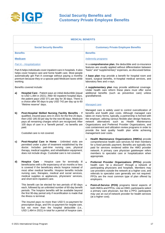

|                                                                                                                                                                                                                                                                                                              | <b>MEDICAL BENEFITS</b>                                                                                                                                                                                                                                                                                                                                                              |                                                                                                                                                                                                                                                                                                                                                                                                                                                                                                                      |  |  |
|--------------------------------------------------------------------------------------------------------------------------------------------------------------------------------------------------------------------------------------------------------------------------------------------------------------|--------------------------------------------------------------------------------------------------------------------------------------------------------------------------------------------------------------------------------------------------------------------------------------------------------------------------------------------------------------------------------------|----------------------------------------------------------------------------------------------------------------------------------------------------------------------------------------------------------------------------------------------------------------------------------------------------------------------------------------------------------------------------------------------------------------------------------------------------------------------------------------------------------------------|--|--|
|                                                                                                                                                                                                                                                                                                              | <b>Social Security Benefits</b>                                                                                                                                                                                                                                                                                                                                                      | <b>Customary Private Employee Benefits</b>                                                                                                                                                                                                                                                                                                                                                                                                                                                                           |  |  |
| <b>Benefits</b>                                                                                                                                                                                                                                                                                              |                                                                                                                                                                                                                                                                                                                                                                                      | <b>Benefits</b>                                                                                                                                                                                                                                                                                                                                                                                                                                                                                                      |  |  |
|                                                                                                                                                                                                                                                                                                              | <b>Medicare</b>                                                                                                                                                                                                                                                                                                                                                                      | <b>Indemnity programs</b>                                                                                                                                                                                                                                                                                                                                                                                                                                                                                            |  |  |
| <b>Part A - Hospitalization</b><br>Part A helps individuals cover inpatient care in hospitals. It also<br>helps cover hospice care and home health care. Most people<br>automatically get Part A coverage without paying a monthly<br>premium because they or a spouse paid Medicare taxes while<br>working. |                                                                                                                                                                                                                                                                                                                                                                                      | In a comprehensive plan, the deductible and co-insurance<br>features are usually applied without differentiation between<br>"basic" and "supplementary" expenses, as discussed below.                                                                                                                                                                                                                                                                                                                                |  |  |
|                                                                                                                                                                                                                                                                                                              |                                                                                                                                                                                                                                                                                                                                                                                      | A base plan may provide a benefit for hospital room and<br>board, surgical benefits, in-hospital medical services, and<br>laboratory fees and x-rays.                                                                                                                                                                                                                                                                                                                                                                |  |  |
|                                                                                                                                                                                                                                                                                                              | Benefits covered include:                                                                                                                                                                                                                                                                                                                                                            | A supplementary plan may provide additional coverage.                                                                                                                                                                                                                                                                                                                                                                                                                                                                |  |  |
| Hospital Care - Patient pays an initial deductible (equal<br>a)<br>to USD 1,484 in 2021). After 60 inpatient hospital days,<br>the patient pays USD 371 per day for 30 days. There is                                                                                                                        |                                                                                                                                                                                                                                                                                                                                                                                      | Under health care reform these plans must offer some<br>additional benefits (such as preventive care) unless<br>grandfathered.                                                                                                                                                                                                                                                                                                                                                                                       |  |  |
|                                                                                                                                                                                                                                                                                                              | a choice after 90 days to pay USD 742 per day up to 60<br>"lifetime reserve" days.                                                                                                                                                                                                                                                                                                   | <b>Managed care</b>                                                                                                                                                                                                                                                                                                                                                                                                                                                                                                  |  |  |
| b)                                                                                                                                                                                                                                                                                                           | Post-Hospital Skilled Nursing Facility Benefits - If<br>qualified, insured pays zero in 2021 for the first 20 days,<br>then USD 185.50 per day for the next 80 days. Medicare<br>pays all remaining charges which are recognized. After<br>100 days of care in a "benefit period", no benefits are<br>paid.<br>Custodial care is not covered.                                        | Managed care is widely used to control overutilization of<br>benefits and health plan costs. Although managed care<br>takes on many forms, typically, a partnership is formed with<br>the employer, utilizing various flexible plan design features,<br>network alternatives such as Health Maintenance<br>Organizations and Preferred Provider Organizations, and<br>cost containment and utilization review programs in order to<br>provide the best quality health plan while achieving<br>management over costs. |  |  |
| C)                                                                                                                                                                                                                                                                                                           | Post-Hospital Care in Home - Unlimited visits are<br>permitted under a plan of treatment established by the<br>doctor. Includes part-time nursing care, physical<br>therapy, medical supplies, and rehabilitation equipment;<br>does not include drugs. Custodial care is not covered.                                                                                               | Health Maintenance Organizations (HMOs) provide<br>$\bullet$<br>comprehensive health care services for their members<br>for a fixed periodic payment. Benefits are typically only<br>paid for services rendered within the HMO provider<br>network. A primary care physician gatekeeper refers<br>members to specialist care or hospitalization when<br>appropriate.                                                                                                                                                 |  |  |
| d)                                                                                                                                                                                                                                                                                                           | Hospice Care - Hospice care for terminally ill<br>beneficiaries with a life expectancy of six months or less<br>is covered if the beneficiary elects hospice instead of<br>most other medical benefits. Hospice benefits include<br>nursing care, therapies, medical and social services,<br>medical supplies or appliances, physicians' services,<br>and short-term inpatient care. | Preferred Provider Organizations (PPOs) provide<br>$\bullet$<br>health care "at a discount" through a network of<br>participating physicians and hospitals. Members may<br>use providers outside the network at a higher cost, and<br>referrals to specialist care generally are not required.<br>PPOs are the most common type of plan offered by<br>employers.                                                                                                                                                     |  |  |
|                                                                                                                                                                                                                                                                                                              | This benefit can be elected for two periods of 90 days<br>each, followed by an unlimited number of 60-day benefit<br>periods. The hospice benefits will be available beyond<br>the first 90-day period only if recertification is made that<br>the illness is terminal.                                                                                                              | Point-of-Service (POS) programs blend aspects of<br>$\bullet$<br>both HMOs and PPOs. Like an HMO, participants select<br>a primary care physician, but like a PPO, participants<br>may use an out-of-network provider for health services<br>(at a higher cost).                                                                                                                                                                                                                                                     |  |  |
|                                                                                                                                                                                                                                                                                                              | The insured pays no more than USD 5 co-payment for<br>prescription drugs, and 5% co-payment for respite care,<br>but not more than the hospital deductible (i.e.,<br>USD 1,484 in 2021) in total for a period of hospice care.                                                                                                                                                       |                                                                                                                                                                                                                                                                                                                                                                                                                                                                                                                      |  |  |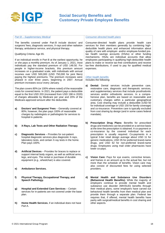

#### *Part B – Supplementary Medical*

The benefits covered under Part B include doctors' and surgeons' fees, diagnostic services, X-rays and other radiation therapy, ambulance service, and physical therapy.

Qualifying Criteria: Age 65.

If an individual enrolls in Part B at the earliest opportunity, he or she pays a monthly premium. As of January 1, 2021, most individuals pay the standard premium of USD 148.50. For people in higher-income brackets, this premium amount increases on a graduated scale, with individuals with annual incomes over USD 500,000 (USD 750,000 for joint filers) paying the highest premiums. The premium increases were phased in over three years, beginning in 2007. Annual premium increases occur every January.

The plan covers 80% (or 100% where noted) of the reasonable costs for covered items. In 2021, the patient pays a deductible equal to the first USD 203 (increased from USD 198 in 2020) of charges allowable by Medicare per year and 20% of the Medicare-approved amount after the deductible.

- **a) Doctors' and Surgeons' Fees** Generally covered at 80%; however, the plan pays 100% of reasonable charges by radiologists or pathologists for services to hospital in-patients.
- **b) X-Rays, Lab Tests and Other Radiation Therapy**.
- **c) Diagnostic Services** Provides for out-patient hospital diagnostic services plus diagnostic X-rays, laboratory tests, and certain X-ray tests in the home. Plan pays 100%.
- **d) Artificial Devices** Provides for braces to replace or support internal body organs, as well as artificial arms, legs, and eyes. The rental or purchase of durable equipment (e.g., wheelchair) is also covered.
- **e) Ambulance Services.**
- **f) Physical Therapy, Occupational Therapy, and Speech Pathology.**
- **g) Hospital and Extended Care Services** Certain services for in-patients are not covered under the base plan.
- **h) Home Health Services**, if an individual does not have Part A.

#### *Consumer-directed health plans*

Consumer-directed health plans provide health care services for their members generally by combining highdeductible health plans and enhanced information about quality of care with employer- and/or employee-funded pretax health savings accounts (HSAs) or other funding mechanisms. HSAs are individual accounts that allow employees participating in qualifying high-deductible health plans to make or receive tax-free contributions and receive tax-free distributions, if used to pay for qualified medical expenses.

*Other health benefits* Includes the following:

- **a) Dental:** Dental services include preventive care, restorative care, diagnostic and therapeutic services, and supplementary services that include prosthodontic services and/or orthodontic services. In a comprehensive plan, benefits are based on reasonable and customary charges within a particular geographical area. Cost sharing may include a deductible (USD 50 for individual coverage or USD 150 for family coverage) and co-insurance. Preventive care is typically excluded from cost sharing by design (and in some cases federal mandate).
- **b) Prescription Drug Plans:** Benefits for prescribed drugs and medicines can be provided on a service basis at the time the prescription is obtained. A co-payment or co-insurance by the covered individual for each prescription is usually required. Co-payments in a typical 3-tier retail design average about USD 11 for generic medications, USD 35 for preferred brand-name drugs, and USD 62 for non-preferred brand-name drugs. Employees using mail order pharmacies have lower co-pays.
- **c) Vision Care:** Pays for eye exams, corrective lenses, and frames in an amount up to the actual fee, but not more than the schedule of benefits. Vision care may also consist of discounted fees for using selected providers.
- **d) Mental Health and Substance Use Disorders (Behavioral Health Benefits):** While the majority of employers continue to provide mental health and substance use disorder (MH/SUD) benefits through their medical plans, some employers have carved out behavioral health benefits from their medical plan and provide them through a separate plan. Federal law requires that, if offered, mental health benefits have parity with surgical/medical benefits in cost sharing and other aspects.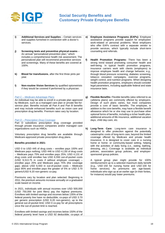

- **i) Additional Services and Supplies** Certain services and supplies furnished in connection with a doctor's services.
- **j) Screening tests and preventive physical exams** An annual "personalized prevention plan," which includes a comprehensive health risk assessment. The personalized plan will recommend preventive services and screenings. Many of these benefits are covered at 100%.
- **k) Blood for transfusions**, after the first three pints per year.
- **l) Non-routine Vision Services** by qualified optometrists if they would be covered if performed by a physician.

#### *Part C – Medicare Advantage Plans*

An individual may be able to enroll in a private plan approved by Medicare, such as a managed care plan or private fee-forservice plan. Benefits include all Part A and Part B benefits and may include enhanced benefits such as vision care and prescription drug benefits. Premium rates vary by location.

#### *Part D – Prescription Drug Coverage*

Part D subsidizes prescription drug coverage provided through private insurance companies and/or managed care organizations such as HMOs.

Voluntary prescription drug benefits are available through Medicare-approved private prescription drug plans.

#### **Benefits provided in 2021:**

USD 0 to USD 445 of drug costs – enrollee pays 100% and Medicare pays nothing; USD 446 to USD 4,130 of drug costs – Medicare pays 75% and enrollee pays 25%; USD 4,131 of drug costs until enrollee has USD 6,550 out-of-pocket costs (USD 9,313.75 in costs if without employer coverage) – enrollee pays 25% and Medicare pays 75% (the coverage gap); above USD 6,550 in out-of-pocket costs – Medicare pays 95% and enrollee pays the greater of 5% or USD 3.70 generic/USD 9.20 non-generic co-pay.

Premiums vary by location and plan selected. Beginning in 2011, the premium amounts increase annually on a graduated scale based on income.

In 2021, individuals with annual incomes over USD 500,000 (USD 750,000 for joint filers) pay the highest premiums. Enrollees with limited savings and incomes below 135% of the federal poverty line have no deductible; co-pays of USD 3.70 per generic prescription (USD 9.20 non-generic), up to the general out-of-pocket limit; USD 0 co-pay for all prescriptions once the out-of-pocket limit is reached.

Enrollees with limited savings and incomes below 150% of the federal poverty level have a USD 92 deductible; co-pays of

- **e) Employee Assistance Programs (EAPs):** Employee assistance programs provide support for employees' work-related or personal problems. Most employers who offer EAPs contract with a separate vendor to provide services, which typically include short-term counseling and referrals.
- **f) Health Promotion Programs:** There has been a strong trend toward promoting consumer health and well-being. In typical health promotion programs, insurance carriers work with clients (employers) to improve employee health and change behavior, e.g., through blood pressure screening, diabetes screening, tobacco cessation campaigns, exercise programs, weight control, and nutrition programs. When designing health promotion programs, employers should consider legal parameters, including applicable federal and state insurance laws.
- **g) Flexible Benefits:** Flexible benefits (also referred to as cafeteria plans) are commonly offered by employers. Design of such plans varies, but most companies provide a core of basic benefits. The employee, in addition to the core benefits, may have a flexible benefit allowance which he or she may use to purchase other optional forms of benefits, including a richer health plan, additional amounts of life insurance, additional vacation days, child day-care, etc.
- **h) Long-Term Care:** Long-term care insurance is designed to offer protection against the potentially catastrophic costs of long-term care, beyond the limited coverage offered by Medicare and private health insurance. It is designed to cover care in a nursing home or home- or community-based setting, helping with the activities of daily living (i.e., eating, bathing, dressing, etc.). Coverage is available as individual policies, association group policies, and employersponsored group policies.

A typical group plan might provide for 100% reimbursement up to a selected maximum daily benefit (e.g., USD 150 for nursing home and USD 100 for home services). As premiums are age-based, individuals who sign up at an earlier age (in their forties, for instance) would pay lower premiums.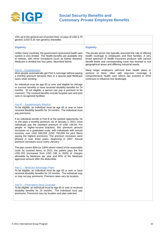

| 15% up to the general out-of-pocket limit; co-pays of USD 3.70<br>generic (USD 9.20 non-generic) thereafter.                                                                                                                                                                                                                                                                                                                                                                                                                                  |                                                                                                                                                                                                                                                                                                          |
|-----------------------------------------------------------------------------------------------------------------------------------------------------------------------------------------------------------------------------------------------------------------------------------------------------------------------------------------------------------------------------------------------------------------------------------------------------------------------------------------------------------------------------------------------|----------------------------------------------------------------------------------------------------------------------------------------------------------------------------------------------------------------------------------------------------------------------------------------------------------|
| <b>Eligibility</b>                                                                                                                                                                                                                                                                                                                                                                                                                                                                                                                            | <b>Eligibility</b>                                                                                                                                                                                                                                                                                       |
| Unlike many countries, the government-sponsored health care<br>system is very limited. The health benefits are available only<br>to retirees, with minor exceptions (such as kidney disease).<br>Medicare is divided into four parts, described below.                                                                                                                                                                                                                                                                                        | The private sector has typically assumed the role of offering<br>health coverage to employees and their families. A very<br>broad spectrum of health insurance products with various<br>benefit levels and corresponding costs has evolved to suit<br>geographical areas and differing industrial needs. |
| <b>Part A - Hospitalization</b><br>Most people automatically get Part A coverage without paying<br>a monthly premium because they or a spouse paid Medicare<br>taxes while working.                                                                                                                                                                                                                                                                                                                                                           | Many larger employers self-fund their health plans or<br>portions of them, often with stop-loss coverage. A<br>comprehensive health care reform law enacted in 2010<br>continues to influence this landscape.                                                                                            |
| An individual must be age 65 or over and eligible for old-age<br>or survivor benefits or have received disability benefits for 24<br>months. (If not eligible, a person can pay a premium to be<br>covered.) The covered benefits include hospital care and post<br>care in recognized facilities.                                                                                                                                                                                                                                            |                                                                                                                                                                                                                                                                                                          |
| <b>Part B - Supplementary Medical</b><br>To be eligible, an individual must be age 65 or over or have<br>received disability benefits for 24 months. The individual must<br>pay premiums.                                                                                                                                                                                                                                                                                                                                                     |                                                                                                                                                                                                                                                                                                          |
| If an individual enrolls in Part B at the earliest opportunity, he<br>or she pays a monthly premium. As of January 1, 2021, most<br>individuals pay the standard premium of USD 148.50. For<br>people in higher-income brackets, this premium amount<br>increases on a graduated scale, with individuals with annual<br>incomes over USD 500,000 (USD 750,000 for joint filers)<br>paying the highest premiums. The premium increases were<br>phased in over three years, beginning in 2007. Annual<br>premium increases occur every January. |                                                                                                                                                                                                                                                                                                          |
| The plan covers 80% (or 100% where noted) of the reasonable<br>costs for covered items. In 2021, the patient pays the first<br>USD 203 (increased from USD 198 in 2020) of charges<br>allowable by Medicare per year and 20% of the Medicare<br>approved amount after the deductible.                                                                                                                                                                                                                                                         |                                                                                                                                                                                                                                                                                                          |
| Part C – Medicare Advantage Plans<br>To be eligible, an individual must be age 65 or over or have<br>received disability benefits for 24 months. The individual may<br>or may not pay premiums. Premium rates vary by location.                                                                                                                                                                                                                                                                                                               |                                                                                                                                                                                                                                                                                                          |
| <b>Part D - Prescription Drug Coverage</b><br>To be eligible, an individual must be age 65 or over or received<br>disability benefits for 24 months. The individual must pay<br>premiums. Premiums vary by location and plan selected.                                                                                                                                                                                                                                                                                                        |                                                                                                                                                                                                                                                                                                          |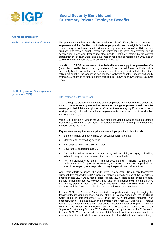

#### **Additional Information:**

**Health and Welfare Benefit Plans:** The private sector has typically assumed the role of offering health coverage to employees and their families, particularly for people who are not eligible for Medicaid, a public program for low-income individuals. A very broad spectrum of health insurance products with various benefit levels and corresponding costs has evolved to suit geographical areas and differing industrial needs. Continued interest by the current administration, policymakers, and advocates in replacing or reshaping a 2010 health care reform law is expected to influence this landscape.

> In addition to ERISA requirements, other federal laws also apply to employee benefits (particularly health plans), including portions of the Internal Revenue Code. While historically health and welfare benefits have been less regulated by federal law than retirement benefits, the landscape has changed for health benefits – most significantly by the 2010 passage of federal health care reform, known as the Affordable Care Act (ACA).

#### **Health Legislation Developments (as of June 2021)**

#### The Affordable Care Act (ACA)

The ACA applies broadly to private and public employers. It imposes various conditions on employer-sponsored plans and assessments on large employers who do not offer coverage to their full-time employees (defined as those averaging 30 or more hours of work per week) if at least one full-time employee gets federal subsidies toward public exchange coverage.

Virtually all individuals living in the US can obtain individual coverage on a guaranteed issue basis, with some qualifying for federal subsidies, in the public exchange established by the ACA.

Key substantive requirements applicable to employer-provided plans include:

- Bans on annual or lifetime limits on "essential health benefits"
- Maximum 90 day waiting periods
- Ban on preexisting condition limitations
- Coverage of children to age 26
- Ban on discrimination based on race, color, national origin, sex, age, or disability in health programs and activities that receive federal funds
- For non-grandfathered plans annual cost-sharing limitations, required firstdollar coverage for preventive services, enhanced claims and appeal rights, specific emergency service provisions, right to participate in clinical trials

After their efforts to repeal the ACA were unsuccessful, Republican lawmakers successfully abolished the ACA's individual mandate penalty as part of the tax bill they passed in late 2017. As a result, since January 2019, there is no longer a federal penalty for being uninsured. However, in an attempt to stabilize their health insurance exchanges, states including California, Rhode Island, Massachusetts, New Jersey, Vermont, and the District of Columbia impose their own state mandates.

In June 2021, the Supreme Court rejected an appeals court ruling challenging the legality of the individual mandate. A panel of the US Court of Appeals for the 5th Circuit Court ruled in mid-December 2019 that the ACA individual mandate was unconstitutional. It did not, however, determine if the entire ACA was valid. It instead remanded the case back to the District Court to decide whether other parts of the Act could survive without the individual mandate. The case was appealed to the US Supreme Court in early January 2020 and was rejected by the court with a 7-2 majority in June 2021. The court ruled that the plaintiffs could not demonstrate any injury resulting from the individual mandate rule and therefore did not have sufficient legal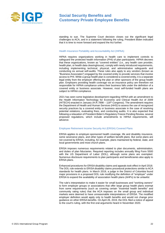

standing to sue. The Supreme Court decision closes out the significant legal challenges to ACA, and in a statement following the ruling, President Biden indicated that it is time to move forward and expand the Act further.

#### Health Insurance Portability and Accountability Act (HIPAA)

HIPAA requires organizations working in health care to implement controls to safeguard the protected health information (PHI) of plan participants. HIPAA decrees that these organizations, known as "covered entities" (i.e., any health care provider, health plan, or health data clearinghouse), comply with newly introduced requirements, including implementing technical, physical, and administrative safeguards and conducting six annual self-audits. These rules also apply to any vendors (known as "Business Associates") engaged by the covered entity to provide services that involve access to PHI. While a group health plan is considered a covered entity, it is a separate legal entity from the employer offering the plan or other sponsors of the group health plan. Employers providing health coverage via an insurance policy are therefore not responsible for HIPAA compliance unless their business falls under the definition of a covered entity or business associate. However, most self-funded health plans are subject to HIPAA compliance.

2021 has seen some legislative development regarding HIPAA with an amendment to the Health Information Technology for Economic and Clinical Health Act of 2009 (HITECH) enacted in January (H.R.7898 – 116<sup>th</sup> Congress). The amendment requires the Department of Health and Human Services (HHS) to assess the use of recognized security practices by a covered entity or business associate in the case of resolving potential violations, evaluating fines, and conducting audits. It is also expected that following a relaxation of President Biden's Regulatory Freeze Pending Review, several proposed regulations, which include amendments to HIPAA requirements, will advance.

#### Employee Retirement Income Security Act (ERISA) Covered Plans

ERISA applies to employer-sponsored health coverage, life and disability insurance, some severance plans, and other types of welfare benefit plans. But some plans are not covered by ERISA, including, for example, plans maintained by federal, state, and local governments and most church plans.

ERISA imposes numerous requirements related to plan documents, administration, and duties of plan fiduciaries. Required reporting includes annually filing Form 5500 with the US Department of Labor (DOL), although some plans are exempted. Numerous disclosure requirements to plan participants and beneficiaries also apply to ERISA plans.

Enhanced procedures for ERISA disability claims and appeals took effect in April 2018. The DOL rule extends to ERISA disability claims procedural protections similar to ACA standards for health plans. In March 2019, a judge in the District of Columbia found major provisions in a proposed DO[L rule](https://www.gpo.gov/fdsys/pkg/FR-2018-01-05/pdf/2017-28103.pdf) modifying the definition of "employer" under ERISA to expand the availability of association health plans (AHPs) to be unlawful.

The rule's interpretation to make it easier for small businesses and "working owners" to form employer groups or associations that offer large group health plans exempt from some requirements (such as covering certain "essential health benefits" and community rating rules) that the ACA imposes on the small group and individual markets were deemed to have unreasonable interpretations of ERISA. The modified employer definition would apply only to health benefits and would not change prior guidance on other ERISA benefits. On April 26, 2019, the DOL filed a notice of appeal to the court's ruling, with the first oral arguments heard in November 2020.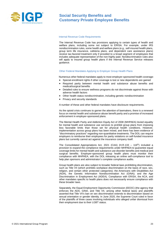

#### Internal Revenue Code Requirements

The Internal Revenue Code has provisions applying to certain types of health and welfare plans, including some not subject to ERISA. For example, under IRS nondiscrimination rules, some health and welfare plans (e.g., self-insured health plans, group term life insurance, cafeteria plans, and dependent care assistance plans) receive tax-favored treatment only if provided to a broad segment of employees that includes adequate representation of the non-highly paid. Nondiscrimination rules also will apply to insured group health plans if the Internal Revenue Service releases guidance.

#### Other Federal Mandates Applying to Employer Group Health Plans

Numerous other federal mandates apply to most employer-sponsored health coverage:

- Special enrollment rights if other coverage is lost or new dependents are gained • Required parity between mental health and substance abuse benefits and medical/surgical benefits
- Detailed rules to ensure wellness programs do not discriminate against those with adverse health factors
- Other health status nondiscrimination, including genetic nondiscrimination
- Privacy and security standards

A number of these and other federal mandates have disclosure requirements.

As the opioid crisis continues to garner the attention of lawmakers, there is a renewed focus on mental health and substance abuse benefit parity and a promise of increased enforcement in employer-sponsored plans.

The Mental Health Parity and Addiction Equity Act of 2008 (MHPAEA) levied equality for mental health and substance use services to prohibit group plans from imposing less favorable limits than those set for physical health conditions. However, implementation across group plans has been mixed, and there has been evidence of "discriminatory practices" regarding non-quantitative treatments. The DOL can require employers to reimburse their employees for parity violations on self-funded insurance plans but currently cannot act against the insurance company itself.

The Consolidated Appropriations Act, 2021 (CAA) (H.R.133 – 116<sup>th</sup>) included a provision to expand the compliance requirements under MHPAEA to guarantee equal coverage limits for mental health and substance use disorder benefits and medical and surgical benefits. Employer-sponsored group health plans must monitor their compliance with MHPAEA, with the DOL releasing an online self-compliance tool to help plan sponsors and administrator's complete compliance audits.

Group health plans are also subject to broader federal laws prohibiting discrimination, such as Title VII (which prohibits workplace discrimination on the basis of race, sex, religion, and certain other protected categories); the Americans with Disabilities Act (ADA), the Genetic Information Nondiscrimination Act (GINA); and the Age Discrimination in Employment Act (ADEA). Compliance with ERISA, the ACA, and other mandates specific to health plans does not necessarily ensure compliance with these broader laws.

Separately, the Equal Employment Opportunity Commission (EEOC) (the agency that enforces the ADA, GINA, and Title VII, among other federal laws) and plaintiffs asserted that Title VII's ban on sex discrimination extends to discrimination based on sexual orientation or gender identity. In June 2020, the Supreme Court ruled in favor of the plaintiffs of three cases involving individuals who alleged unfair dismissal from their employment due to their LGBT status.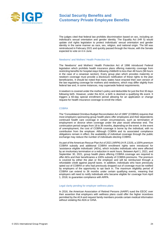

The judges cited that federal law prohibits discrimination based on sex, including an individual's sexual orientation and gender identity. The Equality Act (HR 5) would update civil rights legislation to protect individuals' sexual orientation and gender identity in the same manner as race, sex, religion, and national origin. The bill was reintroduced in February 2021 and quickly passed through the House, with the Senate expected to vote on it in June.

#### Newborns' and Mothers' Health Protection Act

The Newborns' and Mothers' Health Protection Act of 1996 introduced Federal legislation which prohibits health insurance plans offering maternity coverage from restricting benefits for hospital stays following childbirth to less than 48 hours (96 hours in the case of a cesarean section). Every group plan which provides maternity or newborn coverage must provide a disclosure notification of these rights to the plan beneficiaries. It should be noted that many states have enacted their own version of the law regulating coverage for mothers and newborns, which may differ slightly from federal law and, in some instances, may supersede federal requirements.

A newborn is covered under the mother's policy and deductible for just the first 30 days following birth. However, under the ACA, a birth is deemed a qualifying life event. It triggers a 60-day special enrollment period allowing for an application or change request for health insurance coverage to enroll the infant.

#### **COBRA**

The "Consolidated Omnibus Budget Reconciliation Act of 1985" (COBRA) requires that most employers sponsoring group health plans offer employees and their dependents continued health care coverage in certain circumstances, such as termination of employment or divorce when coverage under the plan would otherwise end. The continuation period ranges from 18 to 36 months, depending on the event. In the event of unemployment, the cost of COBRA coverage is borne by the individual, with no contribution from the employer. Although COBRA and its associated compliance obligations remain in effect, the availability of individual coverage through the public exchange may reduce the number of individuals electing COBRA.

As part of the American Rescue Plan Act of 2021 (ARPA) (H.R.1319), a 100% premium COBRA subsidy and additional COBRA enrollment rights were introduced for 'assistance eligible individuals' (AEIs), which includes individuals who were affected by an involuntary termination or a reduction in work hours. Between April 1, 2021, and September 30, 2021, group health plans offering COBRA coverage are required to offer AEIs and their beneficiaries a 100% subsidy of COBRA premiums. The premium is covered by either the plan or the employer and will be reimbursed through a refundable credit against payroll taxes. In addition, individuals who have previously opted out of COBRA or who had previously dropped out of coverage must be notified by employers of the opportunity to opt back in. The maximum eligibility period of COBRA can extend to 36 months under certain qualifying events, meaning that employers will need to notify individuals who became eligible for coverage from April 1, 2018, to guarantee compliance with ARPA.

#### Legal clarity pending for employer wellness plans

In 2016, the American Association of Retired Persons (AARP) sued the EEOC over their assertion that employers with wellness plans could offer the higher incentives permitted by the ACA and request family members provide certain medical information without violating the ADA or GINA.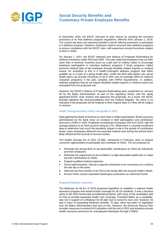

In December 2018, the EEOC reversed its prior stance by vacating the incentive provisions of its final wellness program regulations, effective from January 1, 2019. The current law does not expressly prohibit or permit offering incentives to participate in a wellness program. However, employers need to structure their wellness programs to ensure compliance with the EEOC rules, with awareness around incentives subject to ADA or GINA.

On January 7, 2021, the EEOC released new Notices of Proposed Rulemaking for wellness incentives under ADA and GINA. The rules state that employers may not offer more than a minimum incentive (such as a gift card of modest value) to encourage employee participation in voluntary wellness programs if those programs collect personal medical data of the employee through disability-related inquires or medical exams. An exception to this is a health-contingent wellness program that either qualifies as or is part of a group health plan. Under the ADA safe-harbor rule, group health plans can provide incentives of up to 30% cost of coverage (50% for tobacco cessation programs) if the plan complies with HIPAA requirements. In addition, wellness programs that do not require disability-related inquires or medical exams are exempted from the proposed rule.

However, the EEOC's Notices of Proposed Rulemaking were suspended on January 20 by the Biden Administration as part of the regulatory freeze until the newly appointed EEOC chair reviews and approves the proposals. As a result, the EEOC formally withdrew the recommendations from the Federal Register. Yet, there is no indication if the proposals will be finalized in their original state or if they will be subject to revision.

#### Health Savings Accounts (HSAs) see growth in 2020

Data gathered by Bank of America on more than 3 million participants' 401(k) accounts administered by the bank show an increase in both participation and contribution amounts to HSAs in 2020. Employee contributions increased 10% from 2019, with the average balance in an HSA account rising by 17%. While there is currently insufficient data to determine how much the pandemic played a role in the growth of contribution levels, many employees deferred non-essential medical care during this period which likely influenced the accrual of account assets.

The Health Savings Act of 2021 (S.380), introduced in February, aims to expand consumer opportunities to participate and contribute to HSAs. The act proposes to:

- Eliminate the annual limit on tax-deductible contributions to HSAs by individuals and their employers.
- Eliminate the requirement to be enrolled in a high-deductible health plan to make tax-free contributions to HSAs.
- Expand qualified medical expenses.
- Permit administrative, clerical or payroll contribution error corrections on or before the last day to file taxes.
- Allow the tax-free transfer of an HSA to the family after the account holder's death.
- Ensure HSAs receive equivalent bankruptcy protections as retirement funds.

#### Proposed Medicare expansion

The Medicare for All Act of 2019 proposed legislation to establish a national health insurance program that would include coverage for all US residents. It was a decisive policy in the 2020 Democratic presidential primaries, with many of the candidates split on how to provide expanded health care coverage. President Biden as a candidate, was not in support of a Medicare for All plan due to concerns over cost; however, he was in favor of expanding Medicare benefits. To date, there has been no legislation from the Biden Administration that acts on this. However, the American Rescue Plan includes measures to extend ACA subsidies until the end of 2022 and subsidize private health insurance premiums for unemployed individuals through COBRA.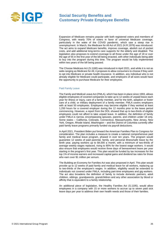

Expansion of Medicare remains popular with both registered voters and members of Congress, with nearly 70% of voters in favor of universal Medicare coverage, particularly in the wake of the COVID pandemic, which saw a steep rise in unemployment. In March, the Medicare for All Act of 2021 (H.R.1976) was introduced. The act aims to expand Medicare benefits, improve coverage, abolish out of pocket costs, and add additional long-terms care supports for the elderly and disabled. The legislation also proposes to extend coverage to all those under the age of 18 or over the age of 55 in the first year of the bill being enacted, with other individuals being able to buy into the program during this time. The program would be fully implemented within two years of the bill being passed.

The Choose Medicare Act (S.1180) was introduced in April 2021, and while it is not as wide-ranging as Medicare for All, it proposes to allow consumers to choose if they wish to opt into Medicare or private health insurance. In addition, any individual who is not already eligible for Medicare could participate, and employers of all sizes would have the opportunity to purchase Medicare for their employees.

#### Paid Family Leave

The Family and Medical Leave Act (FMLA), which has been in place since 1993, allows eligible employees of covered companies to take up to 12 weeks of unpaid leave each year for illness or injury, care of a family member, and for the birth, adoption or foster care of a child, or military deployment of a family member. FMLA covers employers with at least 50 employees. Employees may become eligible if they worked at least 1,250 hours for a covered employer during the 12 months prior to the leave period commencing. However, a report from the DOL showed that up to two-thirds of eligible employees could not afford to take unpaid leave. In addition, the definition of family under FMLA is narrow, encompassing spouses, parents, and children under 18 only. Some states – California, Colorado, Connecticut, Massachusetts, New Jersey, New York, Oregon, Rhode Island, Washington – and the District of Columbia currently offer paid family leave programs primarily funded via payroll deductions.

In April 2021, President Biden put forward the American Families Plan to Congress for consideration. The plan includes a measure to create a national comprehensive paid family and medical leave program, phased in over ten years. The program would guarantee 12 weeks of paid parental, family, and personal illness/safe leave by the tenth year, paying workers up to \$4,000 a month, with a minimum of two-thirds of average weekly wages replaced, rising to 80% for the lowest wage workers. It would also ensure that employees would receive three days of bereavement leave per year starting in the program's first year. This plan would be funded by tax increases for the top 1% of income earners and increased capital gains and dividend tax rates for those who earn over \$1 million per annum.

The Building an Economy for Families Act was also proposed in April. This plan would provide up to 12 weeks of paid family and medical leave for all workers, replacing up to two-thirds of the employee's wages. In addition, eligibility would be extended to individuals not covered under FMLA, including part-time employees and gig workers. The act also broadens the definition of family to include domestic partners, adult children, siblings, grandparents, grandchildren and any other association by blood or affinity that is equivalent to a family relationship.

An additional piece of legislation, the Healthy Families Act (S.1195), would allow employees in a company with 15 or more workers to accrue up to seven paid sick leave days per year to address their own health needs and those of their families.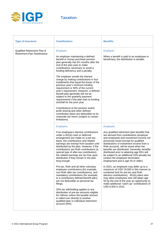

**Taxation**

| <b>Type of Insurance</b>                                            | <b>Contributions</b>                                                                                                                                                                                                                                                                                                                                                                                                                                                                                                                                                                                                                                                                                                                                                                                                                                                                                                                                     | <b>Benefits</b>                                                                                                                                                                                                                                                                                                                                                                                                                                                                                                                                                                                                                                                                                                                                                                                                                                     |
|---------------------------------------------------------------------|----------------------------------------------------------------------------------------------------------------------------------------------------------------------------------------------------------------------------------------------------------------------------------------------------------------------------------------------------------------------------------------------------------------------------------------------------------------------------------------------------------------------------------------------------------------------------------------------------------------------------------------------------------------------------------------------------------------------------------------------------------------------------------------------------------------------------------------------------------------------------------------------------------------------------------------------------------|-----------------------------------------------------------------------------------------------------------------------------------------------------------------------------------------------------------------------------------------------------------------------------------------------------------------------------------------------------------------------------------------------------------------------------------------------------------------------------------------------------------------------------------------------------------------------------------------------------------------------------------------------------------------------------------------------------------------------------------------------------------------------------------------------------------------------------------------------------|
| Qualified Retirement Plan &<br><b>Retirement Plan Distributions</b> | Employer:<br>An employer maintaining a defined<br>benefit or money purchase pension<br>plan generally has 81/2 months after the<br>end of the plan year to make<br>contributions necessary to avoid a<br>funding deficiency and a penalty.<br>The employer avoids the interest<br>charge by making contributions in four<br>installments that equal the lesser of the<br>previous year's minimum funding<br>requirement or 90% of the current<br>year's requirement. However, a defined<br>benefit plan generally will not be<br>subject to the quarterly payment<br>requirements if the plan had no funding<br>shortfall for the prior year.<br>Contributions to the pension and/or<br>profit sharing and other defined<br>contribution plans are deductible on its<br>corporate tax return (subject to certain<br>limitations)                                                                                                                         | Employer:<br>When a benefit is paid to an employee or<br>beneficiary, the distribution is taxable.                                                                                                                                                                                                                                                                                                                                                                                                                                                                                                                                                                                                                                                                                                                                                  |
|                                                                     | Employee:<br>If an employee's elective contributions<br>under a 401(k) cash or deferred<br>arrangement are made on a pre-tax<br>basis, the contributions and related<br>earnings are exempt from taxation until<br>distributed by the plan. However, if the<br>contributions are Roth contributions (a<br>special type of after-tax contribution),<br>the related earnings are tax-free upon<br>distribution if they remain in the plan<br>long enough.<br>Pre-tax, Roth and all other voluntary<br>employee contributions (for example,<br>non-Roth after-tax contributions), and<br>mandatory contributions (for example,<br>to a contributory defined benefit plan),<br>are not deductible on personal tax<br>filings.<br>20% tax withholding applies to any<br>distribution of pre-tax amounts eligible<br>for rollover unless the taxable amount<br>is rolled over directly to another<br>qualified plan or individual retirement<br>account (IRA). | Employee:<br>Any qualified retirement plan benefits that<br>are derived from contributions (employer<br>and employee) and investment income not<br>previously taxed (except for qualified<br>distributions of investment income from a<br>Roth account), will be taxed when the<br>benefits are distributed. Generally, benefits<br>distributed prior to attaining age 591/2 will<br>be subject to an additional 10% penalty tax<br>(unless the employee terminates<br>employment and is age 55 or older).<br>In 2021, an employee may defer up to a<br>maximum of USD 19,500 in this manner (a<br>combined limit for pre-tax and Roth<br>elective contributions). 401(k) plans also<br>may allow employees who will attain age<br>50 by the end of the year an opportunity to<br>make additional "catch-up" contributions of<br>USD 6,500 in 2021. |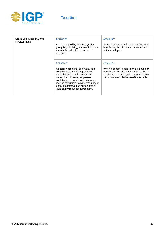

## **Taxation**

| Group Life, Disability, and<br><b>Medical Plans</b> | <i>Employer:</i><br>Premiums paid by an employer for<br>group life, disability, and medical plans<br>are a fully deductible business<br>expense.                                                                                                                                                                           | <i>Employer:</i><br>When a benefit is paid to an employee or<br>beneficiary, the distribution is not taxable<br>to the employer.                                                                                |
|-----------------------------------------------------|----------------------------------------------------------------------------------------------------------------------------------------------------------------------------------------------------------------------------------------------------------------------------------------------------------------------------|-----------------------------------------------------------------------------------------------------------------------------------------------------------------------------------------------------------------|
|                                                     | Employee:<br>Generally speaking; an employee's<br>contributions, if any, to group life,<br>disability, and health are not tax<br>deductible. However, employee<br>contributions toward such coverage<br>may be excludible from income if made<br>under a cafeteria plan pursuant to a<br>valid salary reduction agreement. | <i><b>Employee:</b></i><br>When a benefit is paid to an employee or<br>beneficiary, the distribution is typically not<br>taxable to the employee. There are some<br>situations in which the benefit is taxable. |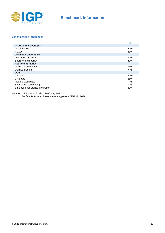

## **Benchmark Information**

#### **Benchmarking Information**

|                              | $\%$ |
|------------------------------|------|
| <b>Group Life Coverage**</b> |      |
| Death benefit                | 82%  |
| AD&D                         | 83%  |
| <b>Disability Coverage**</b> |      |
| Long-term disability         | 71%  |
| Short-term disability        | 61%  |
| <b>Retirement Plans*</b>     |      |
| Defined Contribution         | 94%  |
| Defined Benefit              |      |
| Other*                       |      |
| Wellness                     | 41%  |
| Childcare                    |      |
| Flexible workplace           |      |
| Subsidized commuting         |      |
| Employee assistance programs | 51%  |

*Source: US Bureau of Labor Statistics, 2020\** 

*Society for Human Resource Management (SHRM), 2019\*\**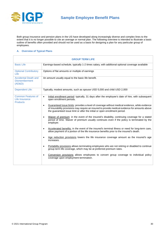

Both group insurance and pension plans in the US have developed along increasingly diverse and complex lines to the extent that it is no longer possible to cite an average or normal plan. The following overview is intended to illustrate a basic outline of benefits often provided and should not be used as a basis for designing a plan for any particular group of employees.

#### **A. Overview of Typical Plans**

| <b>GROUP TERM LIFE</b>                                            |                                                                                                                                                                                                                                                                                              |  |  |
|-------------------------------------------------------------------|----------------------------------------------------------------------------------------------------------------------------------------------------------------------------------------------------------------------------------------------------------------------------------------------|--|--|
| <b>Basic Life</b>                                                 | Earnings-based schedule, typically 1-2 times salary, with additional optional coverage available                                                                                                                                                                                             |  |  |
| <b>Optional Contributory</b><br>Life                              | Options of flat amounts or multiple of earnings                                                                                                                                                                                                                                              |  |  |
| <b>Accidental Death and</b><br><b>Dismemberment</b><br>$(AD&D)$ : | An amount usually equal to the basic life benefit.                                                                                                                                                                                                                                           |  |  |
| <b>Dependent Life:</b>                                            | Typically, modest amounts, such as spouse USD 5,000 and child USD 2,000                                                                                                                                                                                                                      |  |  |
| <b>Common Features of</b><br>Life Insurance<br><b>Products</b>    | Initial enrollment period: typically, 31 days after the employee's date of hire, with subsequent<br>$\bullet$<br>open enrollment periods.                                                                                                                                                    |  |  |
|                                                                   | Guaranteed issue limits: provides a level of coverage without medical evidence, while evidence<br>$\bullet$<br>of insurability provisions may require an insured to provide medical evidence for amounts above<br>the guaranteed issue limit or after the initial or open enrollment period. |  |  |
|                                                                   | Waiver of premium: in the event of the insured's disability, continuing coverage for a stated<br>$\bullet$<br>period of time. Waiver of premium usually continues even if the policy is terminated by the<br>employer.                                                                       |  |  |
|                                                                   | Accelerated benefits: in the event of the insured's terminal illness or need for long-term care,<br>$\bullet$<br>allow payment of a portion of the life insurance benefits prior to the insured's death.                                                                                     |  |  |
|                                                                   | Age reduction provisions lowers the life insurance coverage amount as the insured's age<br>$\bullet$<br>increases.                                                                                                                                                                           |  |  |
|                                                                   | Portability provisions allows terminating employees who are not retiring or disabled to continue<br>$\bullet$<br>group term life coverage, which may be at preferred premium rates.                                                                                                          |  |  |
|                                                                   | Conversion provisions allows employees to convert group coverage to individual policy<br>٠<br>coverage upon employment termination.                                                                                                                                                          |  |  |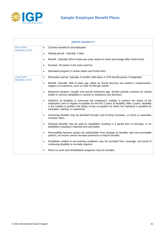

|                                              | <b>GROUP DISABILITY</b>                                                                                                                                                                                                                                                                                                                                    |
|----------------------------------------------|------------------------------------------------------------------------------------------------------------------------------------------------------------------------------------------------------------------------------------------------------------------------------------------------------------------------------------------------------------|
| <b>Short-Term</b><br><b>Disability (STD)</b> | Common benefit for all employees<br>$\bullet$                                                                                                                                                                                                                                                                                                              |
|                                              | Waiting period: Typically, 7 days<br>$\bullet$                                                                                                                                                                                                                                                                                                             |
|                                              | Benefit: Typically, 60% of base pay (may reduce to lower percentage after limited time)<br>$\bullet$                                                                                                                                                                                                                                                       |
|                                              | Duration: 26 weeks is the most common<br>$\bullet$                                                                                                                                                                                                                                                                                                         |
|                                              | Mandated program in certain states and Puerto Rico<br>$\bullet$                                                                                                                                                                                                                                                                                            |
| Long-Term<br>Disability (LTD):               | Elimination period: Typically, 6 months (180 days) or STD benefit period, if integrated.<br>$\bullet$                                                                                                                                                                                                                                                      |
|                                              | Benefit: Typically, 60% of base pay, offset by Social Security and worker's compensation,<br>$\bullet$<br>subject to a maximum, such as USD 10,000 per month.                                                                                                                                                                                              |
|                                              | Maximum duration: Usually until normal retirement age. Shorter periods common for mental<br>$\bullet$<br>health or nervous disabilities or alcohol or substance use disorders.                                                                                                                                                                             |
|                                              | Definition of disability is commonly the employee's inability to perform the duties of the<br>$\bullet$<br>employee's own or regular occupation for the first 2 years of disability. After 2 years, disability<br>is the inability to perform the duties of any occupation for which the individual is qualified by<br>education, training, or experience. |
|                                              | Increasing benefits may be provided through cost-of-living increases, or future or automatic<br>$\bullet$<br>increase riders.                                                                                                                                                                                                                              |
|                                              | Residual benefits may be paid for disabilities resulting in a partial loss of earnings, or for<br>$\bullet$<br>disabilities resulting in reduced time and duties.                                                                                                                                                                                          |
|                                              | Renewability features protect the policyholder from changes to benefits; with non-cancelable<br>$\bullet$<br>policies, an insurer cannot increase premiums or reduce benefits.                                                                                                                                                                             |
|                                              | Disabilities related to pre-existing conditions may be excluded from coverage, and proof of<br>$\bullet$<br>continuing disability is normally required.                                                                                                                                                                                                    |
|                                              | Return to work and rehabilitation programs may be included.<br>$\bullet$                                                                                                                                                                                                                                                                                   |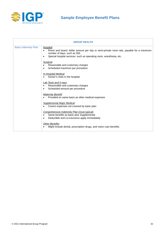

| <b>GROUP HEALTH</b>         |                                                                                                                                                                                                                                                                                                                                                                                                                                                                                                                                                                                                                                                                                                                                                                                                                                                                                                                                                         |  |
|-----------------------------|---------------------------------------------------------------------------------------------------------------------------------------------------------------------------------------------------------------------------------------------------------------------------------------------------------------------------------------------------------------------------------------------------------------------------------------------------------------------------------------------------------------------------------------------------------------------------------------------------------------------------------------------------------------------------------------------------------------------------------------------------------------------------------------------------------------------------------------------------------------------------------------------------------------------------------------------------------|--|
| <b>Basic Indemnity Plan</b> | Hospital:<br>Room and board: dollar amount per day or semi-private room rate, payable for a maximum<br>$\bullet$<br>number of days, such as 365.<br>Special hospital services: such as operating room, anesthesia, etc.<br>$\bullet$<br>Surgical:<br>Reasonable and customary charges<br>Scheduled maximum per procedure<br>$\bullet$<br>In-Hospital Medical:<br>Doctor's visits in the hospital<br>Lab Tests and X-rays:<br>Reasonable and customary charges<br>$\bullet$<br>Scheduled amount per procedure<br>$\bullet$<br><b>Maternity Benefit:</b><br>Provided on same basis as other medical expenses<br>Supplemental Major Medical:<br>Covers expenses not covered by basic plan<br>Comprehensive Indemnity Plan (most typical):<br>Same benefits as basic plus Supplemental<br>$\bullet$<br>Deductible and co-insurance apply immediately<br>$\bullet$<br>Other Benefits:<br>Might include dental, prescription drugs, and vision care benefits. |  |
|                             |                                                                                                                                                                                                                                                                                                                                                                                                                                                                                                                                                                                                                                                                                                                                                                                                                                                                                                                                                         |  |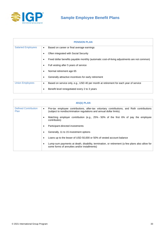

## **Sample Employee Benefit Plans**

| <b>PENSION PLAN</b>       |                                                                                                   |  |
|---------------------------|---------------------------------------------------------------------------------------------------|--|
| <b>Salaried Employees</b> | Based on career or final average earnings<br>$\bullet$                                            |  |
|                           | Often integrated with Social Security                                                             |  |
|                           | Fixed dollar benefits payable monthly (automatic cost-of-living adjustments are not common)<br>٠  |  |
|                           | Full vesting after 5 years of service<br>٠                                                        |  |
|                           | Normal retirement age 65                                                                          |  |
|                           | Generally attractive incentives for early retirement<br>٠                                         |  |
| <b>Union Employees</b>    | Based on service only, e.g., USD 40 per month at retirement for each year of service<br>$\bullet$ |  |
|                           | Benefit level renegotiated every 2 to 3 years                                                     |  |

| 401(k) PLAN                         |                                                                                                                                                                                |  |
|-------------------------------------|--------------------------------------------------------------------------------------------------------------------------------------------------------------------------------|--|
| <b>Defined Contribution</b><br>Plan | Pre-tax employee contributions, after-tax voluntary contributions, and Roth contributions<br>$\bullet$<br>(subject to nondiscrimination regulations and annual dollar limits). |  |
|                                     | Matching employer contribution (e.g., 25% - 50% of the first 6% of pay the employee<br>$\bullet$<br>contributes)                                                               |  |
|                                     | Participant-directed investments<br>٠                                                                                                                                          |  |
|                                     | Generally, 11 to 15 investment options<br>٠                                                                                                                                    |  |
|                                     | Loans up to the lesser of USD 50,000 or 50% of vested account balance<br>٠                                                                                                     |  |
|                                     | Lump-sum payments at death, disability, termination, or retirement (a few plans also allow for<br>$\bullet$<br>some forms of annuities and/or installments)                    |  |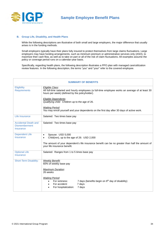

#### **B. Group Life, Disability, and Health Plans**

While the following descriptions are illustrative of both small and large employers, the major difference that usually arises is in the funding methods.

Small employers typically have their plans fully insured to protect themselves from large claims fluctuations. Large employers may have funding arrangements, such as minimum premium or administrative services only (ASO), to maximize their cash flow, as well as to take on part or all of the risk of claim fluctuations. All examples assume the policy or coverage period runs on a calendar-year basis.

Specifically, regarding health plans, the following description illustrates a PPO plan with managed care/utilization review features. In the following description, the terms "you" and "your" refer to the covered employee.

|                                                                  | <b>SUMMARY OF BENEFITS</b>                                                                                                                                                        |  |  |  |
|------------------------------------------------------------------|-----------------------------------------------------------------------------------------------------------------------------------------------------------------------------------|--|--|--|
| Eligibility<br><b>Requirements</b>                               | Eligible Class:<br>All full-time salaried and hourly employees (a full-time employee works an average of at least 30<br>hours per week) (defined by the policyholder).            |  |  |  |
|                                                                  | Eligible Dependents:<br>Qualifying child: Children up to the age of 26.                                                                                                           |  |  |  |
|                                                                  | <b>Waiting Period:</b><br>You may enroll yourself and your dependents on the first day after 30 days of active work.                                                              |  |  |  |
| Life Insurance                                                   | Salaried: Two times base pay                                                                                                                                                      |  |  |  |
| <b>Accidental Death and</b><br><b>Dismemberment</b><br>Insurance | Salaried: Two times base pay                                                                                                                                                      |  |  |  |
| <b>Dependent Life</b><br><b>Insurance</b>                        | Spouse: USD 5,000<br>$\bullet$<br>Child(ren), up to the age of 26: USD 2,000<br>$\bullet$                                                                                         |  |  |  |
|                                                                  | The amount of your dependent's life insurance benefit can be no greater than half the amount of<br>your life insurance benefit.                                                   |  |  |  |
| <b>Optional Life</b><br><b>Insurance</b>                         | Salaried: Ranges from 1 to 5 times base pay                                                                                                                                       |  |  |  |
| <b>Short-Term Disability:</b>                                    | <b>Weekly Benefit:</b><br>60% of weekly base pay                                                                                                                                  |  |  |  |
|                                                                  | <b>Maximum Duration:</b><br>26 weeks                                                                                                                                              |  |  |  |
|                                                                  | <b>Waiting Period:</b><br>For sickness:<br>7 days (benefits begin on 8 <sup>th</sup> day of disability)<br>$\bullet$<br>For accident:<br>7 days<br>For hospitalization:<br>7 days |  |  |  |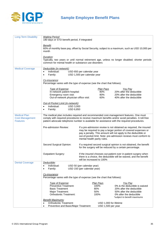

| <b>Long-Term Disability</b>               | <b>Waiting Period:</b><br>180 days or STD benefit period, if integrated                                                                                                                                                                                                                 |                                                           |                        |                                                                                                                                                                                                                                                                            |
|-------------------------------------------|-----------------------------------------------------------------------------------------------------------------------------------------------------------------------------------------------------------------------------------------------------------------------------------------|-----------------------------------------------------------|------------------------|----------------------------------------------------------------------------------------------------------------------------------------------------------------------------------------------------------------------------------------------------------------------------|
|                                           | Benefit:<br>60% of monthly base pay, offset by Social Security, subject to a maximum, such as USD 10,000 per<br>month                                                                                                                                                                   |                                                           |                        |                                                                                                                                                                                                                                                                            |
|                                           | Duration:<br>common for mental health or substance use disorders                                                                                                                                                                                                                        |                                                           |                        | Typically, two years or until normal retirement age, unless no longer disabled; shorter periods                                                                                                                                                                            |
| <b>Medical Coverage</b>                   | Deductible (in-network):                                                                                                                                                                                                                                                                |                                                           |                        |                                                                                                                                                                                                                                                                            |
|                                           | Individual:<br>$\bullet$                                                                                                                                                                                                                                                                | USD 650 per calendar year                                 |                        |                                                                                                                                                                                                                                                                            |
|                                           | Family:<br>$\bullet$                                                                                                                                                                                                                                                                    | USD 1,500 per calendar year                               |                        |                                                                                                                                                                                                                                                                            |
|                                           | Co-insurance:<br>Percentage varies with the type of expense (see the chart that follows).                                                                                                                                                                                               |                                                           |                        |                                                                                                                                                                                                                                                                            |
|                                           | Type of Expense:                                                                                                                                                                                                                                                                        |                                                           | Plan Pays              | You Pay                                                                                                                                                                                                                                                                    |
|                                           | In-network patient hospital:                                                                                                                                                                                                                                                            |                                                           | 80%                    | 20% after the deductible                                                                                                                                                                                                                                                   |
|                                           | Emergency room visit:<br>Out-of-network physician office visit:                                                                                                                                                                                                                         |                                                           | 80%<br>60%             | 20% after the deductible<br>40% after the deductible                                                                                                                                                                                                                       |
|                                           |                                                                                                                                                                                                                                                                                         |                                                           |                        |                                                                                                                                                                                                                                                                            |
|                                           | Out-of-Pocket Limit (in-network):<br>Individual:<br><b>USD 3,000</b><br>$\bullet$                                                                                                                                                                                                       |                                                           |                        |                                                                                                                                                                                                                                                                            |
|                                           | Family:<br><b>USD 6,850</b>                                                                                                                                                                                                                                                             |                                                           |                        |                                                                                                                                                                                                                                                                            |
| <b>Medical Plan</b>                       |                                                                                                                                                                                                                                                                                         |                                                           |                        |                                                                                                                                                                                                                                                                            |
| <b>Cost-Management</b><br><b>Features</b> | The medical plan includes required and recommended cost-management features. One must<br>comply with required procedures to receive maximum benefits and/or avoid penalties. A toll-free<br>patient advocate telephone number is available for assistance with the required procedures. |                                                           |                        |                                                                                                                                                                                                                                                                            |
|                                           | Pre-admission Review:                                                                                                                                                                                                                                                                   | mental health parity rules.                               |                        | If a pre-admission review is not obtained as required, the insured<br>may be required to pay a larger portion of covered expenses or<br>pay a penalty. This amount will not apply to the deductible or<br>out-of-pocket limit. Note: pre-admission reviews must conform to |
|                                           | Second Surgical Opinion:                                                                                                                                                                                                                                                                |                                                           |                        | If a required second surgical opinion is not obtained, the benefit<br>for the surgery will be reduced by a certain percentage.                                                                                                                                             |
|                                           | Outpatient Surgery:                                                                                                                                                                                                                                                                     | will be increased to 100%                                 |                        | If the insured chooses out-patient over in-patient surgery when<br>there is a choice, the deductible will be waived, and the benefit                                                                                                                                       |
| <b>Dental Coverage</b>                    | Deductible:                                                                                                                                                                                                                                                                             |                                                           |                        |                                                                                                                                                                                                                                                                            |
|                                           | Individual:<br>Family:<br>٠                                                                                                                                                                                                                                                             | USD 50 (per calendar year)<br>USD 150 (per calendar year) |                        |                                                                                                                                                                                                                                                                            |
|                                           |                                                                                                                                                                                                                                                                                         |                                                           |                        |                                                                                                                                                                                                                                                                            |
|                                           | Co-insurance:<br>Percentage varies with the type of expense (see the chart that follows):                                                                                                                                                                                               |                                                           |                        |                                                                                                                                                                                                                                                                            |
|                                           | Type of Expense:                                                                                                                                                                                                                                                                        |                                                           | Plan Pays              | <u>You Pay</u>                                                                                                                                                                                                                                                             |
|                                           | <b>Preventive Treatment:</b>                                                                                                                                                                                                                                                            |                                                           | 100%                   | 0% & the deductible is waived                                                                                                                                                                                                                                              |
|                                           | <b>Basic Treatment</b><br>Major Treatment:                                                                                                                                                                                                                                              |                                                           | 80%<br>50%             | 20% after the deductible<br>50% after the deductible                                                                                                                                                                                                                       |
|                                           | Orthodontic Treatment:                                                                                                                                                                                                                                                                  |                                                           | 100%                   | 0% after the deductible                                                                                                                                                                                                                                                    |
|                                           | <b>Benefit Maximums:</b>                                                                                                                                                                                                                                                                |                                                           |                        | *subject to benefit maximums                                                                                                                                                                                                                                               |
|                                           | <b>Orthodontic Treatment:</b><br>$\bullet$                                                                                                                                                                                                                                              |                                                           | USD 1,000 for lifetime |                                                                                                                                                                                                                                                                            |
|                                           | USD 1,500 per year<br>Preventive and Basic/Major Treatment:<br>$\bullet$                                                                                                                                                                                                                |                                                           |                        |                                                                                                                                                                                                                                                                            |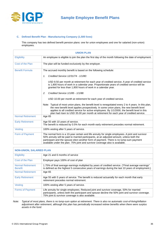

#### **C. Defined Benefit Plan - Manufacturing Company (1,500 lives)**

This company has two defined benefit pension plans: one for union employees and one for salaried (non-union) employees.

| <b>UNION PLAN</b>        |                                                                                                                                                                                                                                                                                                                                                                                             |  |
|--------------------------|---------------------------------------------------------------------------------------------------------------------------------------------------------------------------------------------------------------------------------------------------------------------------------------------------------------------------------------------------------------------------------------------|--|
| Eligibility              | An employee is eligible to join the plan the first day of the month following the date of employment.                                                                                                                                                                                                                                                                                       |  |
| Cost of the Plan         | The plan will be funded exclusively by the employer.                                                                                                                                                                                                                                                                                                                                        |  |
| <b>Benefit Formula</b>   | The accrued monthly benefit is based on the following schedule:                                                                                                                                                                                                                                                                                                                             |  |
|                          | Credited Service 12/31/74 - 1/1/80:<br>$\mathcal{I}$ .                                                                                                                                                                                                                                                                                                                                      |  |
|                          | USD 8.50 per month at retirement for each year of credited service. A year of credited service<br>is 1,800 hours of work in a calendar year. Proportionate years of credited service will be<br>granted for less than 1,800 hours of work in a calendar year.                                                                                                                               |  |
|                          | Credited Service 1/1/85 - 1/1/88:<br>2.                                                                                                                                                                                                                                                                                                                                                     |  |
|                          | USD 10.00 per month at retirement for each year of credited service.                                                                                                                                                                                                                                                                                                                        |  |
|                          | Note: Typical of most union plans, the benefit level is renegotiated every 2 to 4 years. In this plan,<br>the new benefit level applies prospectively. In some union plans, the new benefit level<br>applies to all credited service for active employees. By 1/1/2000, the benefit level in this<br>plan had risen to USD 35.00 per month at retirement for each year of credited service. |  |
| <b>Normal Retirement</b> | Age 65                                                                                                                                                                                                                                                                                                                                                                                      |  |
| <b>Early Retirement</b>  | Age 55 with 10 years of service.<br>The benefit is reduced by 0.5% for each month early retirement precedes normal retirement.                                                                                                                                                                                                                                                              |  |
| Vesting                  | 100% vesting after 5 years of service.                                                                                                                                                                                                                                                                                                                                                      |  |
| Form of Payment          | The normal form is a 10-year certain and life annuity for single employees. A joint and survivor<br>50% annuity will be paid to married participants, at an adjusted amount, unless both the<br>participant and the spouse elect another form of payment. There is no lump-sum payment<br>available under the plan. 75% joint and survivor coverage also is available.                      |  |

| <b>NON-UNION, SALARIED PLAN</b>            |                                                                                                                                                                                                                                                  |
|--------------------------------------------|--------------------------------------------------------------------------------------------------------------------------------------------------------------------------------------------------------------------------------------------------|
| <b>Eligibility</b>                         | Age 21 and 6 months of service                                                                                                                                                                                                                   |
| Cost of the Plan                           | Employer pays 100% of cost of plan                                                                                                                                                                                                               |
| <b>Normal Retirement</b><br><b>Benefit</b> | 1.75% of final average earnings multiplied by years of credited service. ("Final average earnings"<br>is defined as the highest 5 consecutive years of earnings during the last 10 years of employment.)                                         |
| <b>Normal Retirement</b>                   | Age 65                                                                                                                                                                                                                                           |
| <b>Early Retirement</b>                    | Age 55 with 5 years of service. The benefit is reduced actuarially for each month that early<br>retirement precedes normal retirement.                                                                                                           |
| Vesting                                    | 100% vesting after 5 years of service.                                                                                                                                                                                                           |
| <b>Forms of Payment</b>                    | Life annuity for single employees. Reduced joint and survivor coverage, 50% for married<br>participants, unless both the participant and spouse decline the 50% joint and survivor coverage.<br>75% joint & survivor coverage is also available. |

*Note: Typical of most plans, there is no lump-sum option at retirement. There is also no automatic cost-of-living/inflation adjustment after retirement, although this plan has periodically increased retiree benefits when there were surplus assets in the fund.*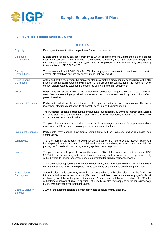

#### **D. 401(k) Plan - Financial Institution (700 lives)**

| <b>401(k) PLAN</b>                         |                                                                                                                                                                                                                                                                                                                                                                                                                                                                       |
|--------------------------------------------|-----------------------------------------------------------------------------------------------------------------------------------------------------------------------------------------------------------------------------------------------------------------------------------------------------------------------------------------------------------------------------------------------------------------------------------------------------------------------|
| Eligibility                                | First day of the month after completion of 6 months of service.                                                                                                                                                                                                                                                                                                                                                                                                       |
| <b>Employee</b><br><b>Contributions</b>    | Eligible employees may contribute from 1% to 20% of eligible compensation to the plan on a pre-tax<br>basis. Compensation by law is limited to USD 290,000 annually (in 2021). Additionally, 401(k) plans<br>must limit pre-tax deferrals to USD 19,500 in 2021. Employees age 50 or older may contribute up<br>to an additional USD 6,500 in 2021.                                                                                                                   |
| Employer<br><b>Contributions</b>           | The employer will match 50% of the first 6% of an employee's compensation contributed as a pre-tax<br>deferral. No match on any pre-tax contributions that exceed 6%.                                                                                                                                                                                                                                                                                                 |
| <b>Profit-Sharing</b><br>Contribution      | At the end of the fiscal year, the employer also may make a discretionary contribution to the plan<br>based on profits. Each participant will share in this profit-sharing contribution in the ratio that his/her<br>compensation bears to total compensation (as defined in the plan document).                                                                                                                                                                      |
| Vesting                                    | Participants are always 100% vested in their own contributions (required by law). A participant will<br>vest 100% in the employer-provided profit-sharing contributions and matching contributions after 3<br>years of service.                                                                                                                                                                                                                                       |
| <b>Investment Direction</b>                | Participants will direct the investment of all employee and employer contributions. The same<br>investment elections must apply to all contributions in a participant's account.                                                                                                                                                                                                                                                                                      |
|                                            | The investment options include a stable value fund (supported by guaranteed interest contracts), a<br>domestic stock fund, an international stock fund, a growth stock fund, a growth and income fund,<br>and a balanced stock and bond fund.                                                                                                                                                                                                                         |
|                                            | The plan also offers lifestyle fund options, as well as managed accounts. Participants can direct<br>investment in 1% increments into any of these investment options.                                                                                                                                                                                                                                                                                                |
| <b>Investment Changes</b>                  | Participants may change how future contributions will be invested, and/or reallocate past<br>contributions.                                                                                                                                                                                                                                                                                                                                                           |
| Withdrawals                                | The plan permits participants to withdraw up to 50% of their entire vested account balance if<br>hardship requirements are met. The withdrawal is subject to ordinary income tax and a special 10%<br>penalty tax for early withdrawals (generally applies prior to age 59 1/2).                                                                                                                                                                                      |
| Loans                                      | The plan permits participants to borrow the lesser of 50% of their vested account balance or USD<br>50,000. Loans are not subject to current taxation as long as they are repaid to the plan, generally<br>within 5 years (a longer repayment period is permitted for primary residence loans).                                                                                                                                                                       |
|                                            | The plan requires repayment through payroll deduction, at an interest rate that is 1% above the rate<br>currently available in the marketplace. Participants may only have one outstanding plan loan.                                                                                                                                                                                                                                                                 |
| <b>Termination of</b><br><b>Employment</b> | At termination, participants may leave their account balance in the plan, elect to roll the funds over<br>into an individual retirement account (IRA), elect to roll them over into a new employer's plan (if<br>applicable), or take a lump-sum distribution. A lump-sum distribution is subject to 20% tax<br>withholding (if rollover eligible). A special 10% penalty tax also may apply to participants under age<br>59 1/2 who don't roll over their lump-sums. |
| Death & Disability<br><b>Benefits</b>      | 100% of the account balance automatically vests at death or total disability.                                                                                                                                                                                                                                                                                                                                                                                         |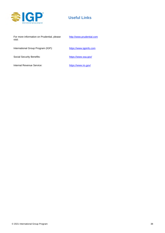

## **Useful Links**

For more information on Prudential, please visit:

http://www.prudential.com

International Group Program (IGP):

Social Security Benefits:

[https://www.igpinfo.com](https://www.igpinfo.com/)

<https://www.ssa.gov/>

Internal Revenue Service:

https://www.irs.gov/